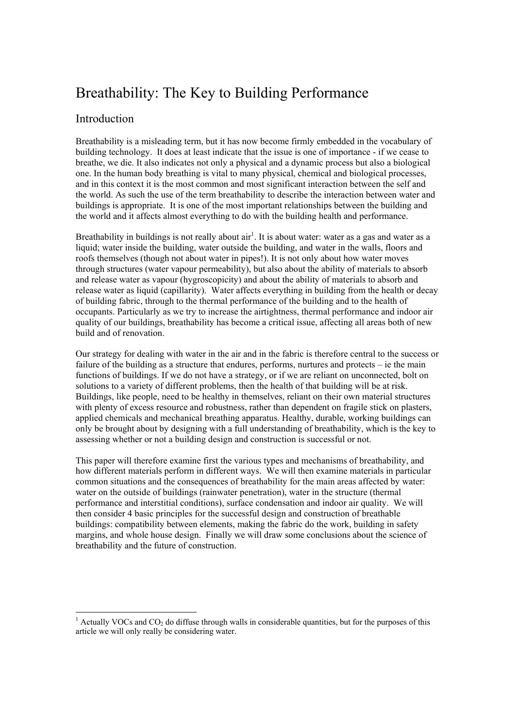# Breathability: The Key to Building Performance

# Introduction

Breathability is a misleading term, but it has now become firmly embedded in the vocabulary of building technology. It does at least indicate that the issue is one of importance - if we cease to breathe, we die. It also indicates not only a physical and a dynamic process but also a biological one. In the human body breathing is vital to many physical, chemical and biological processes, and in this context it is the most common and most significant interaction between the self and the world. As such the use of the term breathability to describe the interaction between water and buildings is appropriate. It is one of the most important relationships between the building and the world and it affects almost everything to do with the building health and performance.

Breathability in buildings is not really about  $air<sup>1</sup>$ . It is about water: water as a gas and water as a liquid; water inside the building, water outside the building, and water in the walls, floors and roofs themselves (though not about water in pipes!). It is not only about how water moves through structures (water vapour permeability), but also about the ability of materials to absorb and release water as vapour (hygroscopicity) and about the ability of materials to absorb and release water as liquid (capillarity). Water affects everything in building from the health or decay of building fabric, through to the thermal performance of the building and to the health of occupants. Particularly as we try to increase the airtightness, thermal performance and indoor air quality of our buildings, breathability has become a critical issue, affecting all areas both of new build and of renovation.

Our strategy for dealing with water in the air and in the fabric is therefore central to the success or failure of the building as a structure that endures, performs, nurtures and protects – ie the main functions of buildings. If we do not have a strategy, or if we are reliant on unconnected, bolt on solutions to a variety of different problems, then the health of that building will be at risk. Buildings, like people, need to be healthy in themselves, reliant on their own material structures with plenty of excess resource and robustness, rather than dependent on fragile stick on plasters, applied chemicals and mechanical breathing apparatus. Healthy, durable, working buildings can only be brought about by designing with a full understanding of breathability, which is the key to assessing whether or not a building design and construction is successful or not.

This paper will therefore examine first the various types and mechanisms of breathability, and how different materials perform in different ways. We will then examine materials in particular common situations and the consequences of breathability for the main areas affected by water: water on the outside of buildings (rainwater penetration), water in the structure (thermal performance and interstitial conditions), surface condensation and indoor air quality. We will then consider 4 basic principles for the successful design and construction of breathable buildings: compatibility between elements, making the fabric do the work, building in safety margins, and whole house design. Finally we will draw some conclusions about the science of breathability and the future of construction.

<sup>&</sup>lt;sup>1</sup> Actually VOCs and  $CO<sub>2</sub>$  do diffuse through walls in considerable quantities, but for the purposes of this article we will only really be considering water.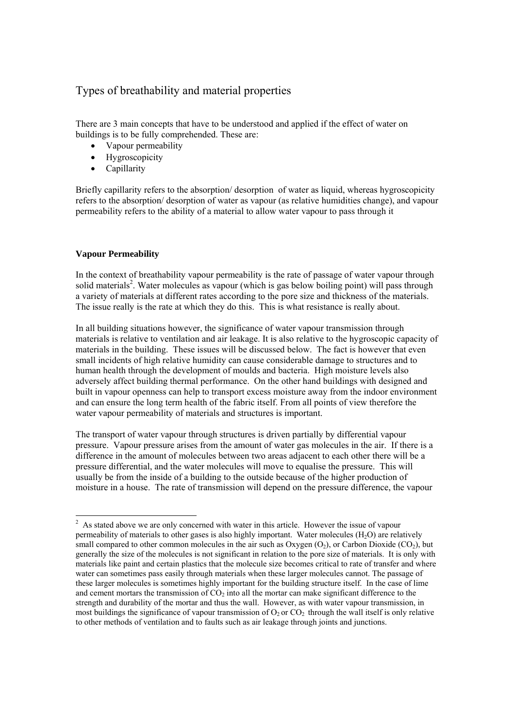# Types of breathability and material properties

There are 3 main concepts that have to be understood and applied if the effect of water on buildings is to be fully comprehended. These are:

- Vapour permeability
- Hygroscopicity
- Capillarity

Briefly capillarity refers to the absorption/ desorption of water as liquid, whereas hygroscopicity refers to the absorption/ desorption of water as vapour (as relative humidities change), and vapour permeability refers to the ability of a material to allow water vapour to pass through it

# **Vapour Permeability**

In the context of breathability vapour permeability is the rate of passage of water vapour through solid materials<sup>2</sup>. Water molecules as vapour (which is gas below boiling point) will pass through a variety of materials at different rates according to the pore size and thickness of the materials. The issue really is the rate at which they do this. This is what resistance is really about.

In all building situations however, the significance of water vapour transmission through materials is relative to ventilation and air leakage. It is also relative to the hygroscopic capacity of materials in the building. These issues will be discussed below. The fact is however that even small incidents of high relative humidity can cause considerable damage to structures and to human health through the development of moulds and bacteria. High moisture levels also adversely affect building thermal performance. On the other hand buildings with designed and built in vapour openness can help to transport excess moisture away from the indoor environment and can ensure the long term health of the fabric itself. From all points of view therefore the water vapour permeability of materials and structures is important.

The transport of water vapour through structures is driven partially by differential vapour pressure. Vapour pressure arises from the amount of water gas molecules in the air. If there is a difference in the amount of molecules between two areas adjacent to each other there will be a pressure differential, and the water molecules will move to equalise the pressure. This will usually be from the inside of a building to the outside because of the higher production of moisture in a house. The rate of transmission will depend on the pressure difference, the vapour

l  $2<sup>2</sup>$  As stated above we are only concerned with water in this article. However the issue of vapour permeability of materials to other gases is also highly important. Water molecules  $(H<sub>2</sub>O)$  are relatively small compared to other common molecules in the air such as Oxygen  $(O_2)$ , or Carbon Dioxide  $(CO_2)$ , but generally the size of the molecules is not significant in relation to the pore size of materials. It is only with materials like paint and certain plastics that the molecule size becomes critical to rate of transfer and where water can sometimes pass easily through materials when these larger molecules cannot. The passage of these larger molecules is sometimes highly important for the building structure itself. In the case of lime and cement mortars the transmission of  $CO<sub>2</sub>$  into all the mortar can make significant difference to the strength and durability of the mortar and thus the wall. However, as with water vapour transmission, in most buildings the significance of vapour transmission of  $O_2$  or  $CO_2$  through the wall itself is only relative to other methods of ventilation and to faults such as air leakage through joints and junctions.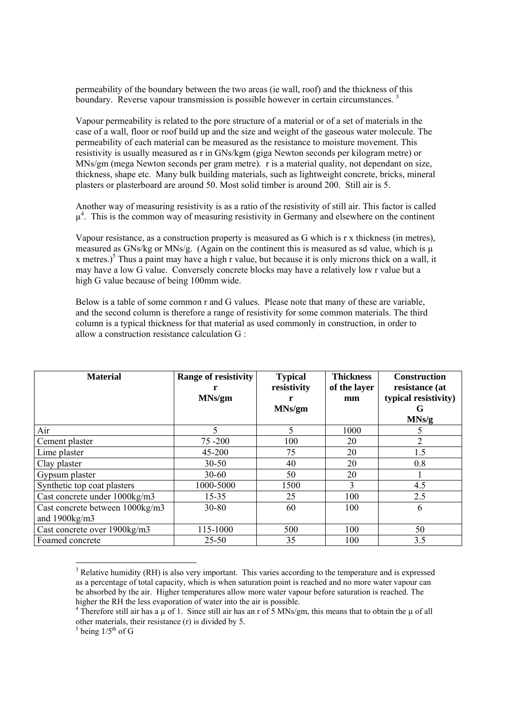permeability of the boundary between the two areas (ie wall, roof) and the thickness of this boundary. Reverse vapour transmission is possible however in certain circumstances.<sup>3</sup>

Vapour permeability is related to the pore structure of a material or of a set of materials in the case of a wall, floor or roof build up and the size and weight of the gaseous water molecule. The permeability of each material can be measured as the resistance to moisture movement. This resistivity is usually measured as r in GNs/kgm (giga Newton seconds per kilogram metre) or MNs/gm (mega Newton seconds per gram metre). r is a material quality, not dependant on size, thickness, shape etc. Many bulk building materials, such as lightweight concrete, bricks, mineral plasters or plasterboard are around 50. Most solid timber is around 200. Still air is 5.

Another way of measuring resistivity is as a ratio of the resistivity of still air. This factor is called  $\mu^4$ . This is the common way of measuring resistivity in Germany and elsewhere on the continent

Vapour resistance, as a construction property is measured as G which is r x thickness (in metres), measured as GNs/kg or MNs/g. (Again on the continent this is measured as sd value, which is  $\mu$ x metres.)<sup>5</sup> Thus a paint may have a high r value, but because it is only microns thick on a wall, it may have a low G value. Conversely concrete blocks may have a relatively low r value but a high G value because of being 100mm wide.

Below is a table of some common r and G values. Please note that many of these are variable, and the second column is therefore a range of resistivity for some common materials. The third column is a typical thickness for that material as used commonly in construction, in order to allow a construction resistance calculation G :

| <b>Material</b>                 | <b>Range of resistivity</b><br>MNs/gm | <b>Typical</b><br>resistivity<br>MNs/gm | <b>Thickness</b><br>of the layer<br>mm | <b>Construction</b><br>resistance (at<br>typical resistivity)<br>G<br>MNs/g |
|---------------------------------|---------------------------------------|-----------------------------------------|----------------------------------------|-----------------------------------------------------------------------------|
| Air                             | 5                                     | 5                                       | 1000                                   |                                                                             |
| Cement plaster                  | 75-200                                | 100                                     | 20                                     | 2                                                                           |
| Lime plaster                    | 45-200                                | 75                                      | 20                                     | 1.5                                                                         |
| Clay plaster                    | $30 - 50$                             | 40                                      | 20                                     | 0.8                                                                         |
| Gypsum plaster                  | $30 - 60$                             | 50                                      | 20                                     |                                                                             |
| Synthetic top coat plasters     | 1000-5000                             | 1500                                    | 3                                      | 4.5                                                                         |
| Cast concrete under 1000kg/m3   | $15 - 35$                             | 25                                      | 100                                    | 2.5                                                                         |
| Cast concrete between 1000kg/m3 | 30-80                                 | 60                                      | 100                                    | 6                                                                           |
| and $1900\text{kg/m}3$          |                                       |                                         |                                        |                                                                             |
| Cast concrete over 1900kg/m3    | 115-1000                              | 500                                     | 100                                    | 50                                                                          |
| Foamed concrete                 | $25 - 50$                             | 35                                      | 100                                    | 3.5                                                                         |

 $3$  Relative humidity (RH) is also very important. This varies according to the temperature and is expressed as a percentage of total capacity, which is when saturation point is reached and no more water vapour can be absorbed by the air. Higher temperatures allow more water vapour before saturation is reached. The higher the RH the less evaporation of water into the air is possible.

 $\overline{a}$ 

<sup>&</sup>lt;sup>4</sup> Therefore still air has a  $\mu$  of 1. Since still air has an r of 5 MNs/gm, this means that to obtain the  $\mu$  of all other materials, their resistance  $(r)$  is divided by 5.

 $<sup>5</sup>$  being  $1/5<sup>th</sup>$  of G</sup>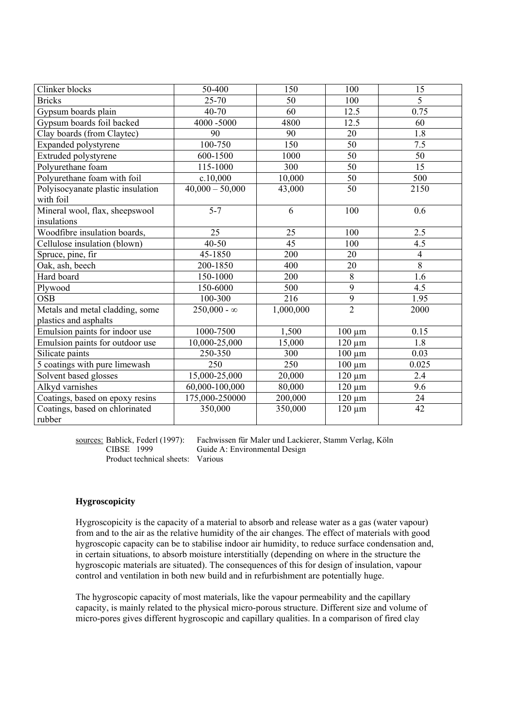| Clinker blocks                                 | 50-400                      | 150             | 100             | 15             |
|------------------------------------------------|-----------------------------|-----------------|-----------------|----------------|
| <b>Bricks</b>                                  | 25-70                       | 50              | 100             | 5              |
| Gypsum boards plain                            | 40-70                       | 60              | 12.5            | 0.75           |
| Gypsum boards foil backed                      | 4000 -5000                  | 4800            | 12.5            | 60             |
| Clay boards (from Claytec)                     | 90                          | 90              | 20              | 1.8            |
| Expanded polystyrene                           | 100-750                     | 150             | $\overline{50}$ | 7.5            |
| Extruded polystyrene                           | 600-1500                    | 1000            | 50              | 50             |
| Polyurethane foam                              | 115-1000                    | 300             | $\overline{50}$ | 15             |
| Polyurethane foam with foil                    | c.10,000                    | 10,000          | 50              | 500            |
| Polyisocyanate plastic insulation<br>with foil | $40,000 - 50,000$           | 43,000          | 50              | 2150           |
| Mineral wool, flax, sheepswool<br>insulations  | $5 - 7$                     | 6               | 100             | 0.6            |
| Woodfibre insulation boards,                   | 25                          | 25              | 100             | 2.5            |
| Cellulose insulation (blown)                   | 40-50                       | $\overline{45}$ | 100             | 4.5            |
| Spruce, pine, fir                              | 45-1850                     | 200             | 20              | $\overline{4}$ |
| Oak, ash, beech                                | 200-1850                    | 400             | 20              | $\overline{8}$ |
| Hard board                                     | 150-1000                    | 200             | 8               | 1.6            |
| Plywood                                        | 150-6000                    | 500             | 9               | 4.5            |
| <b>OSB</b>                                     | 100-300                     | 216             | $\overline{9}$  | 1.95           |
| Metals and metal cladding, some                | $250,000 - \infty$          | 1,000,000       | $\overline{2}$  | 2000           |
| plastics and asphalts                          |                             |                 |                 |                |
| Emulsion paints for indoor use                 | 1000-7500                   | 1,500           | $100 \mu m$     | 0.15           |
| Emulsion paints for outdoor use                | 10,000-25,000               | 15,000          | $120 \mu m$     | 1.8            |
| Silicate paints                                | 250-350                     | 300             | $100 \mu m$     | 0.03           |
| 5 coatings with pure limewash<br>250           |                             | 250             | $100 \mu m$     | 0.025          |
| Solvent based glosses                          | $\overline{15,000}$ -25,000 | 20,000          | $120 \mu m$     | 2.4            |
| Alkyd varnishes                                | 60,000-100,000              | 80,000          | $120 \mu m$     | 9.6            |
| Coatings, based on epoxy resins                | 175,000-250000              | 200,000         | $120 \mu m$     | 24             |
| Coatings, based on chlorinated<br>350,000      |                             | 350,000         | $120 \mu m$     | 42             |
| rubber                                         |                             |                 |                 |                |

Product technical sheets: Various

sources: Bablick, Federl (1997): Fachwissen für Maler und Lackierer, Stamm Verlag, Köln Guide A: Environmental Design

# **Hygroscopicity**

Hygroscopicity is the capacity of a material to absorb and release water as a gas (water vapour) from and to the air as the relative humidity of the air changes. The effect of materials with good hygroscopic capacity can be to stabilise indoor air humidity, to reduce surface condensation and, in certain situations, to absorb moisture interstitially (depending on where in the structure the hygroscopic materials are situated). The consequences of this for design of insulation, vapour control and ventilation in both new build and in refurbishment are potentially huge.

The hygroscopic capacity of most materials, like the vapour permeability and the capillary capacity, is mainly related to the physical micro-porous structure. Different size and volume of micro-pores gives different hygroscopic and capillary qualities. In a comparison of fired clay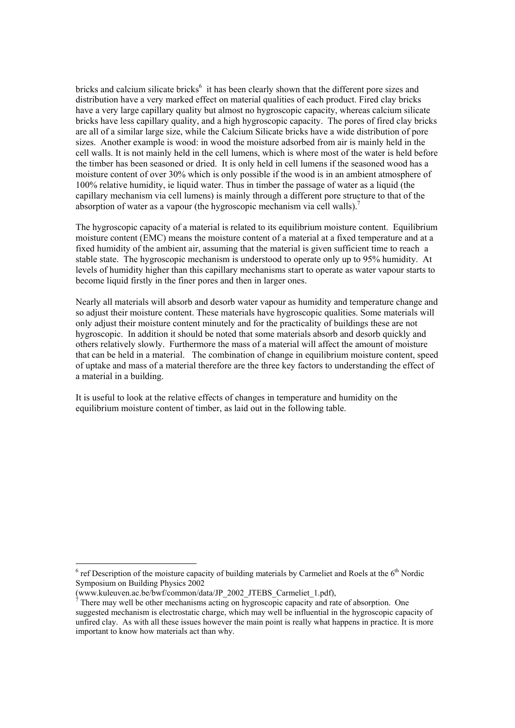bricks and calcium silicate bricks<sup>6</sup> it has been clearly shown that the different pore sizes and distribution have a very marked effect on material qualities of each product. Fired clay bricks have a very large capillary quality but almost no hygroscopic capacity, whereas calcium silicate bricks have less capillary quality, and a high hygroscopic capacity. The pores of fired clay bricks are all of a similar large size, while the Calcium Silicate bricks have a wide distribution of pore sizes. Another example is wood: in wood the moisture adsorbed from air is mainly held in the cell walls. It is not mainly held in the cell lumens, which is where most of the water is held before the timber has been seasoned or dried. It is only held in cell lumens if the seasoned wood has a moisture content of over 30% which is only possible if the wood is in an ambient atmosphere of 100% relative humidity, ie liquid water. Thus in timber the passage of water as a liquid (the capillary mechanism via cell lumens) is mainly through a different pore structure to that of the absorption of water as a vapour (the hygroscopic mechanism via cell walls).<sup>7</sup>

The hygroscopic capacity of a material is related to its equilibrium moisture content. Equilibrium moisture content (EMC) means the moisture content of a material at a fixed temperature and at a fixed humidity of the ambient air, assuming that the material is given sufficient time to reach a stable state. The hygroscopic mechanism is understood to operate only up to 95% humidity. At levels of humidity higher than this capillary mechanisms start to operate as water vapour starts to become liquid firstly in the finer pores and then in larger ones.

Nearly all materials will absorb and desorb water vapour as humidity and temperature change and so adjust their moisture content. These materials have hygroscopic qualities. Some materials will only adjust their moisture content minutely and for the practicality of buildings these are not hygroscopic. In addition it should be noted that some materials absorb and desorb quickly and others relatively slowly. Furthermore the mass of a material will affect the amount of moisture that can be held in a material. The combination of change in equilibrium moisture content, speed of uptake and mass of a material therefore are the three key factors to understanding the effect of a material in a building.

It is useful to look at the relative effects of changes in temperature and humidity on the equilibrium moisture content of timber, as laid out in the following table.

l

 $6$  ref Description of the moisture capacity of building materials by Carmeliet and Roels at the  $6<sup>th</sup>$  Nordic Symposium on Building Physics 2002

<sup>(</sup>www.kuleuven.ac.be/bwf/common/data/JP\_2002\_JTEBS\_Carmeliet\_1.pdf),  $\frac{7}{7}$ There may well be other mechanisms acting on hygroscopic canceity and rat

There may well be other mechanisms acting on hygroscopic capacity and rate of absorption. One suggested mechanism is electrostatic charge, which may well be influential in the hygroscopic capacity of unfired clay. As with all these issues however the main point is really what happens in practice. It is more important to know how materials act than why.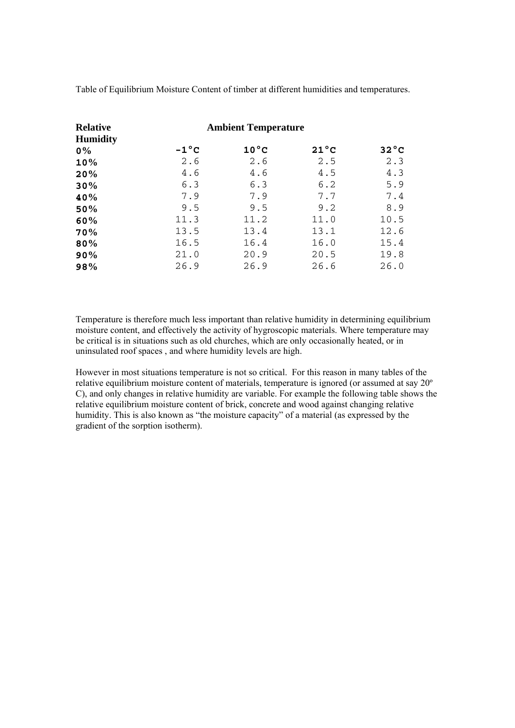Table of Equilibrium Moisture Content of timber at different humidities and temperatures.

| <b>Relative</b><br><b>Humidity</b> |                | <b>Ambient Temperature</b> |                |                |
|------------------------------------|----------------|----------------------------|----------------|----------------|
| $0\%$                              | $-1^{\circ}$ C | $10^{\circ}$ C             | $21^{\circ}$ C | $32^{\circ}$ C |
| 10%                                | 2.6            | 2.6                        | 2.5            | 2.3            |
| 20%                                | 4.6            | 4.6                        | 4.5            | 4.3            |
| 30%                                | 6.3            | 6.3                        | 6.2            | 5.9            |
| 40%                                | 7.9            | 7.9                        | 7.7            | 7.4            |
| 50%                                | 9.5            | 9.5                        | 9.2            | 8.9            |
| 60%                                | 11.3           | 11.2                       | 11.0           | 10.5           |
| 70%                                | 13.5           | 13.4                       | 13.1           | 12.6           |
| 80%                                | 16.5           | 16.4                       | 16.0           | 15.4           |
| 90%                                | 21.0           | 20.9                       | 20.5           | 19.8           |
| 98%                                | 26.9           | 26.9                       | 26.6           | 26.0           |

Temperature is therefore much less important than relative humidity in determining equilibrium moisture content, and effectively the activity of hygroscopic materials. Where temperature may be critical is in situations such as old churches, which are only occasionally heated, or in uninsulated roof spaces , and where humidity levels are high.

However in most situations temperature is not so critical. For this reason in many tables of the relative equilibrium moisture content of materials, temperature is ignored (or assumed at say 20º C), and only changes in relative humidity are variable. For example the following table shows the relative equilibrium moisture content of brick, concrete and wood against changing relative humidity. This is also known as "the moisture capacity" of a material (as expressed by the gradient of the sorption isotherm).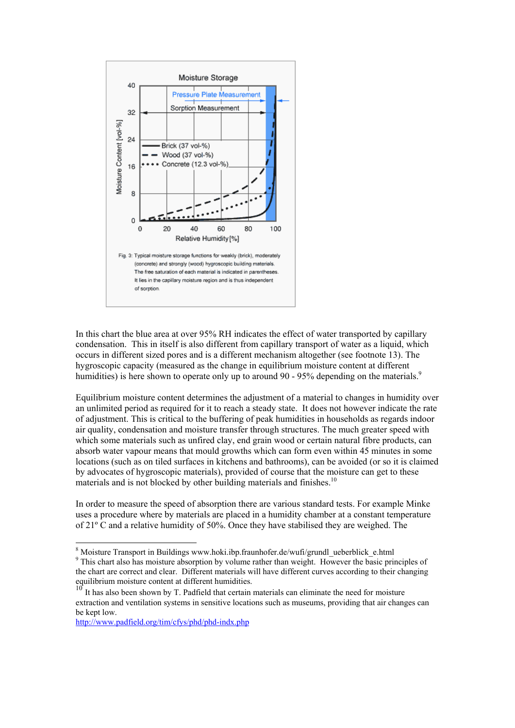

In this chart the blue area at over 95% RH indicates the effect of water transported by capillary condensation. This in itself is also different from capillary transport of water as a liquid, which occurs in different sized pores and is a different mechanism altogether (see footnote 13). The hygroscopic capacity (measured as the change in equilibrium moisture content at different humidities) is here shown to operate only up to around 90 - 95% depending on the materials.<sup>9</sup>

Equilibrium moisture content determines the adjustment of a material to changes in humidity over an unlimited period as required for it to reach a steady state. It does not however indicate the rate of adjustment. This is critical to the buffering of peak humidities in households as regards indoor air quality, condensation and moisture transfer through structures. The much greater speed with which some materials such as unfired clay, end grain wood or certain natural fibre products, can absorb water vapour means that mould growths which can form even within 45 minutes in some locations (such as on tiled surfaces in kitchens and bathrooms), can be avoided (or so it is claimed by advocates of hygroscopic materials), provided of course that the moisture can get to these materials and is not blocked by other building materials and finishes.<sup>10</sup>

In order to measure the speed of absorption there are various standard tests. For example Minke uses a procedure where by materials are placed in a humidity chamber at a constant temperature of  $21^{\circ}$  C and a relative humidity of 50%. Once they have stabilised they are weighed. The

http://www.padfield.org/tim/cfys/phd/phd-indx.php

<sup>&</sup>lt;sup>8</sup> Moisture Transport in Buildings www.hoki.ibp.fraunhofer.de/wufi/grundl\_ueberblick\_e.html

<sup>&</sup>lt;sup>9</sup> This chart also has moisture absorption by volume rather than weight. However the basic principles of the chart are correct and clear. Different materials will have different curves according to their changing equilibrium moisture content at different humidities.

<sup>10</sup> It has also been shown by T. Padfield that certain materials can eliminate the need for moisture extraction and ventilation systems in sensitive locations such as museums, providing that air changes can be kept low.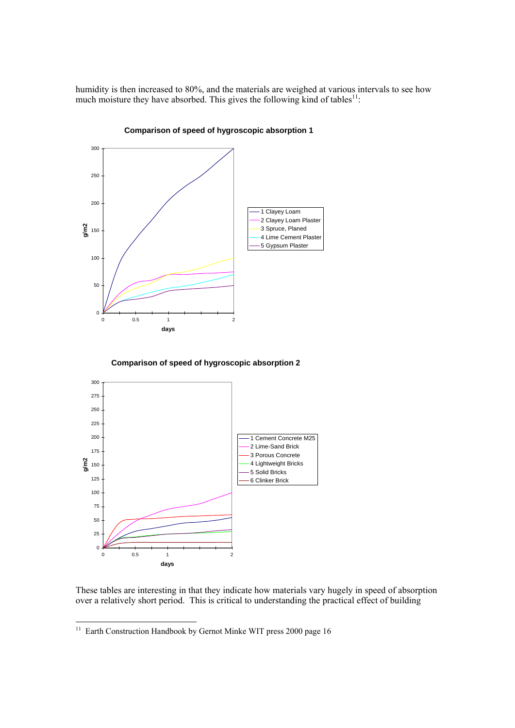humidity is then increased to 80%, and the materials are weighed at various intervals to see how much moisture they have absorbed. This gives the following kind of tables<sup>11</sup>:



**Comparison of speed of hygroscopic absorption 1**

**Comparison of speed of hygroscopic absorption 2**



These tables are interesting in that they indicate how materials vary hugely in speed of absorption over a relatively short period. This is critical to understanding the practical effect of building

 $\overline{a}$ 

 $11$  Earth Construction Handbook by Gernot Minke WIT press 2000 page 16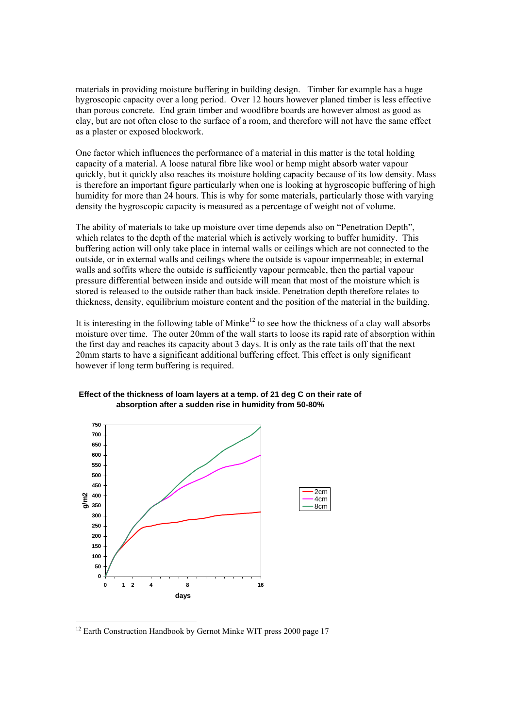materials in providing moisture buffering in building design. Timber for example has a huge hygroscopic capacity over a long period. Over 12 hours however planed timber is less effective than porous concrete. End grain timber and woodfibre boards are however almost as good as clay, but are not often close to the surface of a room, and therefore will not have the same effect as a plaster or exposed blockwork.

One factor which influences the performance of a material in this matter is the total holding capacity of a material. A loose natural fibre like wool or hemp might absorb water vapour quickly, but it quickly also reaches its moisture holding capacity because of its low density. Mass is therefore an important figure particularly when one is looking at hygroscopic buffering of high humidity for more than 24 hours. This is why for some materials, particularly those with varying density the hygroscopic capacity is measured as a percentage of weight not of volume.

The ability of materials to take up moisture over time depends also on "Penetration Depth", which relates to the depth of the material which is actively working to buffer humidity. This buffering action will only take place in internal walls or ceilings which are not connected to the outside, or in external walls and ceilings where the outside is vapour impermeable; in external walls and soffits where the outside *is* sufficiently vapour permeable, then the partial vapour pressure differential between inside and outside will mean that most of the moisture which is stored is released to the outside rather than back inside. Penetration depth therefore relates to thickness, density, equilibrium moisture content and the position of the material in the building.

It is interesting in the following table of Minke<sup>12</sup> to see how the thickness of a clay wall absorbs moisture over time. The outer 20mm of the wall starts to loose its rapid rate of absorption within the first day and reaches its capacity about 3 days. It is only as the rate tails off that the next 20mm starts to have a significant additional buffering effect. This effect is only significant however if long term buffering is required.





 $12$  Earth Construction Handbook by Gernot Minke WIT press 2000 page 17

 $\overline{a}$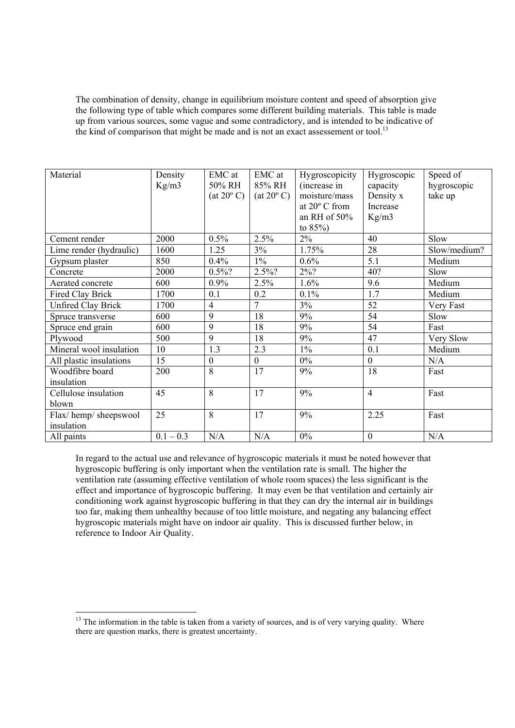The combination of density, change in equilibrium moisture content and speed of absorption give the following type of table which compares some different building materials. This table is made up from various sources, some vague and some contradictory, and is intended to be indicative of the kind of comparison that might be made and is not an exact assessement or tool.<sup>13</sup>

| Material                  | Density     | EMC at              | EMC at              | Hygroscopicity         | Hygroscopic      | Speed of     |
|---------------------------|-------------|---------------------|---------------------|------------------------|------------------|--------------|
|                           | Kg/m3       | 50% RH              | 85% RH              | (increase in           | capacity         | hygroscopic  |
|                           |             | $(at 20^{\circ} C)$ | $(at 20^{\circ} C)$ | moisture/mass          | Density x        | take up      |
|                           |             |                     |                     | at $20^{\circ}$ C from | Increase         |              |
|                           |             |                     |                     | an RH of $50\%$        | Kg/m3            |              |
|                           |             |                     |                     | to $85\%$ )            |                  |              |
| Cement render             | 2000        | 0.5%                | 2.5%                | $2\%$                  | 40               | Slow         |
| Lime render (hydraulic)   | 1600        | 1.25                | 3%                  | 1.75%                  | 28               | Slow/medium? |
| Gypsum plaster            | 850         | 0.4%                | $1\%$               | 0.6%                   | 5.1              | Medium       |
| Concrete                  | 2000        | $0.5\%$ ?           | 2.5%?               | $2\%$ ?                | 40?              | Slow         |
| Aerated concrete          | 600         | 0.9%                | 2.5%                | 1.6%                   | 9.6              | Medium       |
| Fired Clay Brick          | 1700        | 0.1                 | 0.2                 | 0.1%                   | 1.7              | Medium       |
| <b>Unfired Clay Brick</b> | 1700        | $\overline{4}$      | $\overline{7}$      | 3%                     | 52               | Very Fast    |
| Spruce transverse         | 600         | 9                   | 18                  | 9%                     | 54               | Slow         |
| Spruce end grain          | 600         | 9                   | 18                  | 9%                     | 54               | Fast         |
| Plywood                   | 500         | $\overline{9}$      | 18                  | 9%                     | 47               | Very Slow    |
| Mineral wool insulation   | 10          | 1.3                 | 2.3                 | $1\%$                  | 0.1              | Medium       |
| All plastic insulations   | 15          | $\mathbf{0}$        | $\mathbf{0}$        | $0\%$                  | $\mathbf{0}$     | N/A          |
| Woodfibre board           | 200         | 8                   | 17                  | 9%                     | 18               | Fast         |
| insulation                |             |                     |                     |                        |                  |              |
| Cellulose insulation      | 45          | 8                   | 17                  | 9%                     | $\overline{4}$   | Fast         |
| blown                     |             |                     |                     |                        |                  |              |
| Flax/hemp/sheepswool      | 25          | 8                   | 17                  | 9%                     | 2.25             | Fast         |
| insulation                |             |                     |                     |                        |                  |              |
| All paints                | $0.1 - 0.3$ | N/A                 | N/A                 | $0\%$                  | $\boldsymbol{0}$ | N/A          |

In regard to the actual use and relevance of hygroscopic materials it must be noted however that hygroscopic buffering is only important when the ventilation rate is small. The higher the ventilation rate (assuming effective ventilation of whole room spaces) the less significant is the effect and importance of hygroscopic buffering. It may even be that ventilation and certainly air conditioning work against hygroscopic buffering in that they can dry the internal air in buildings too far, making them unhealthy because of too little moisture, and negating any balancing effect hygroscopic materials might have on indoor air quality. This is discussed further below, in reference to Indoor Air Quality.

 $13$  The information in the table is taken from a variety of sources, and is of very varying quality. Where there are question marks, there is greatest uncertainty.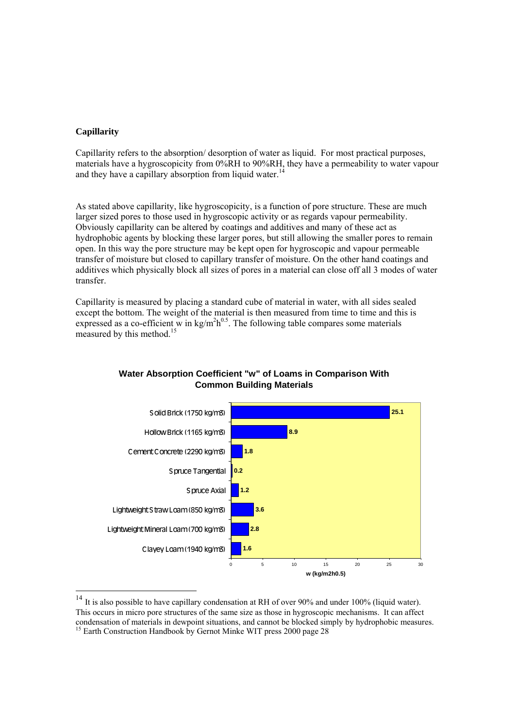# **Capillarity**

Capillarity refers to the absorption/ desorption of water as liquid. For most practical purposes, materials have a hygroscopicity from 0%RH to 90%RH, they have a permeability to water vapour and they have a capillary absorption from liquid water.<sup>14</sup>

As stated above capillarity, like hygroscopicity, is a function of pore structure. These are much larger sized pores to those used in hygroscopic activity or as regards vapour permeability. Obviously capillarity can be altered by coatings and additives and many of these act as hydrophobic agents by blocking these larger pores, but still allowing the smaller pores to remain open. In this way the pore structure may be kept open for hygroscopic and vapour permeable transfer of moisture but closed to capillary transfer of moisture. On the other hand coatings and additives which physically block all sizes of pores in a material can close off all 3 modes of water transfer.

Capillarity is measured by placing a standard cube of material in water, with all sides sealed except the bottom. The weight of the material is then measured from time to time and this is expressed as a co-efficient w in  $\text{kg/m}^2 \text{h}^{0.5}$ . The following table compares some materials measured by this method.<sup>15</sup>



# **Water Absorption Coefficient "w" of Loams in Comparison With Common Building Materials**

<sup>&</sup>lt;sup>14</sup> It is also possible to have capillary condensation at RH of over 90% and under 100% (liquid water). This occurs in micro pore structures of the same size as those in hygroscopic mechanisms. It can affect condensation of materials in dewpoint situations, and cannot be blocked simply by hydrophobic measures. <sup>15</sup> Earth Construction Handbook by Gernot Minke WIT press 2000 page 28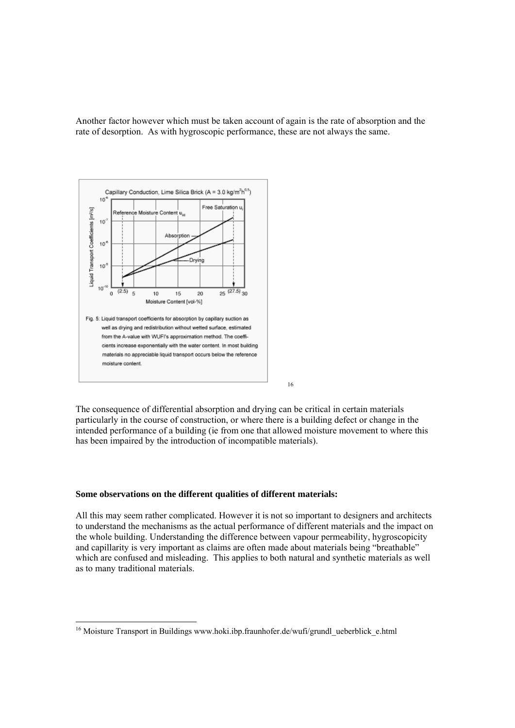Another factor however which must be taken account of again is the rate of absorption and the rate of desorption. As with hygroscopic performance, these are not always the same.



The consequence of differential absorption and drying can be critical in certain materials particularly in the course of construction, or where there is a building defect or change in the intended performance of a building (ie from one that allowed moisture movement to where this has been impaired by the introduction of incompatible materials).

16

#### **Some observations on the different qualities of different materials:**

 $\overline{a}$ 

All this may seem rather complicated. However it is not so important to designers and architects to understand the mechanisms as the actual performance of different materials and the impact on the whole building. Understanding the difference between vapour permeability, hygroscopicity and capillarity is very important as claims are often made about materials being "breathable" which are confused and misleading. This applies to both natural and synthetic materials as well as to many traditional materials.

<sup>&</sup>lt;sup>16</sup> Moisture Transport in Buildings www.hoki.ibp.fraunhofer.de/wufi/grundl\_ueberblick\_e.html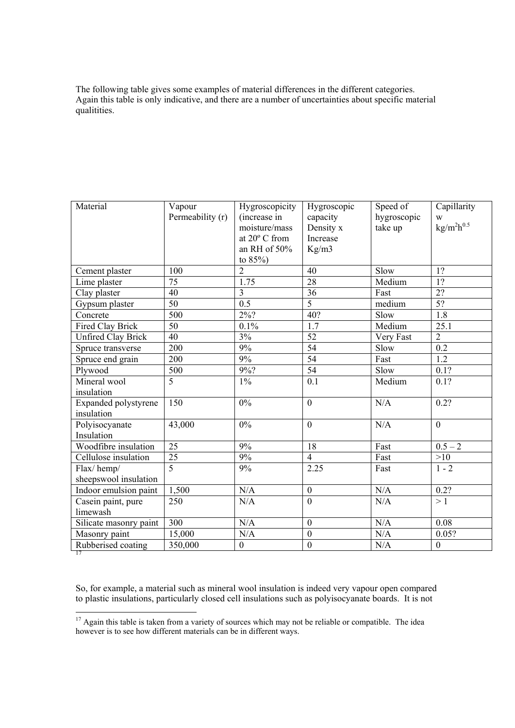The following table gives some examples of material differences in the different categories. Again this table is only indicative, and there are a number of uncertainties about specific material qualitities.

| Material                            | Vapour<br>Permeability (r) | Hygroscopicity<br>(increase in<br>moisture/mass<br>at 20° C from<br>an RH of 50%<br>to 85%) | Hygroscopic<br>capacity<br>Density x<br>Increase<br>Kg/m3 | Speed of<br>hygroscopic<br>take up | Capillarity<br>W<br>$\mathrm{kg}/\mathrm{m}^2 \mathrm{h}^{0.5}$ |
|-------------------------------------|----------------------------|---------------------------------------------------------------------------------------------|-----------------------------------------------------------|------------------------------------|-----------------------------------------------------------------|
| Cement plaster                      | 100                        | $\overline{2}$                                                                              | 40                                                        | Slow                               | 1?                                                              |
| Lime plaster                        | 75                         | 1.75                                                                                        | 28                                                        | Medium                             | 1?                                                              |
| Clay plaster                        | $\overline{40}$            | $\overline{3}$                                                                              | 36                                                        | Fast                               | $\overline{2?}$                                                 |
| Gypsum plaster                      | $\overline{50}$            | $\overline{0.5}$                                                                            | $\overline{5}$                                            | medium                             | 5?                                                              |
| Concrete                            | 500                        | $2\frac{9}{6}$ ?                                                                            | 40?                                                       | Slow                               | 1.8                                                             |
| Fired Clay Brick                    | 50                         | 0.1%                                                                                        | $\overline{1.7}$                                          | Medium                             | 25.1                                                            |
| <b>Unfired Clay Brick</b>           | $\overline{40}$            | 3%                                                                                          | 52                                                        | Very Fast                          | $\overline{2}$                                                  |
| Spruce transverse                   | 200                        | 9%                                                                                          | $\overline{54}$                                           | Slow                               | 0.2                                                             |
| Spruce end grain                    | 200                        | 9%                                                                                          | 54                                                        | Fast                               | 1.2                                                             |
| Plywood                             | 500                        | 9%?                                                                                         | 54                                                        | Slow                               | 0.1?                                                            |
| Mineral wool<br>insulation          | $\overline{5}$             | $1\%$                                                                                       | $\overline{0.1}$                                          | Medium                             | 0.1?                                                            |
| Expanded polystyrene<br>insulation  | 150                        | $0\%$                                                                                       | $\mathbf{0}$                                              | N/A                                | 0.2?                                                            |
| Polyisocyanate<br>Insulation        | 43,000                     | $0\%$                                                                                       | $\mathbf{0}$                                              | N/A                                | $\theta$                                                        |
| Woodfibre insulation                | 25                         | 9%                                                                                          | 18                                                        | Fast                               | $0.5 - 2$                                                       |
| Cellulose insulation                | 25                         | $9\%$                                                                                       | $\overline{4}$                                            | Fast                               | >10                                                             |
| Flax/hemp/<br>sheepswool insulation | $\overline{5}$             | 9%                                                                                          | 2.25                                                      | Fast                               | $1 - 2$                                                         |
| Indoor emulsion paint               | 1,500                      | N/A                                                                                         | $\mathbf{0}$                                              | N/A                                | 0.2?                                                            |
| Casein paint, pure<br>limewash      | 250                        | N/A                                                                                         | $\overline{0}$                                            | N/A                                | >1                                                              |
| Silicate masonry paint              | 300                        | N/A                                                                                         | $\mathbf{0}$                                              | N/A                                | 0.08                                                            |
| Masonry paint                       | 15,000                     | N/A                                                                                         | $\boldsymbol{0}$                                          | N/A                                | 0.05?                                                           |
| Rubberised coating<br>17            | 350,000                    | $\boldsymbol{0}$                                                                            | $\boldsymbol{0}$                                          | N/A                                | $\theta$                                                        |

So, for example, a material such as mineral wool insulation is indeed very vapour open compared to plastic insulations, particularly closed cell insulations such as polyisocyanate boards. It is not

 $17$  Again this table is taken from a variety of sources which may not be reliable or compatible. The idea however is to see how different materials can be in different ways.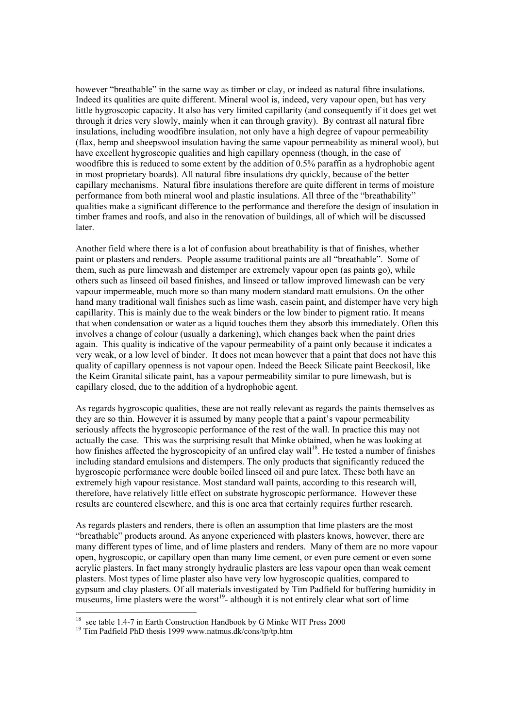however "breathable" in the same way as timber or clay, or indeed as natural fibre insulations. Indeed its qualities are quite different. Mineral wool is, indeed, very vapour open, but has very little hygroscopic capacity. It also has very limited capillarity (and consequently if it does get wet through it dries very slowly, mainly when it can through gravity). By contrast all natural fibre insulations, including woodfibre insulation, not only have a high degree of vapour permeability (flax, hemp and sheepswool insulation having the same vapour permeability as mineral wool), but have excellent hygroscopic qualities and high capillary openness (though, in the case of woodfibre this is reduced to some extent by the addition of 0.5% paraffin as a hydrophobic agent in most proprietary boards). All natural fibre insulations dry quickly, because of the better capillary mechanisms. Natural fibre insulations therefore are quite different in terms of moisture performance from both mineral wool and plastic insulations. All three of the "breathability" qualities make a significant difference to the performance and therefore the design of insulation in timber frames and roofs, and also in the renovation of buildings, all of which will be discussed later.

Another field where there is a lot of confusion about breathability is that of finishes, whether paint or plasters and renders. People assume traditional paints are all "breathable". Some of them, such as pure limewash and distemper are extremely vapour open (as paints go), while others such as linseed oil based finishes, and linseed or tallow improved limewash can be very vapour impermeable, much more so than many modern standard matt emulsions. On the other hand many traditional wall finishes such as lime wash, casein paint, and distemper have very high capillarity. This is mainly due to the weak binders or the low binder to pigment ratio. It means that when condensation or water as a liquid touches them they absorb this immediately. Often this involves a change of colour (usually a darkening), which changes back when the paint dries again. This quality is indicative of the vapour permeability of a paint only because it indicates a very weak, or a low level of binder. It does not mean however that a paint that does not have this quality of capillary openness is not vapour open. Indeed the Beeck Silicate paint Beeckosil, like the Keim Granital silicate paint, has a vapour permeability similar to pure limewash, but is capillary closed, due to the addition of a hydrophobic agent.

As regards hygroscopic qualities, these are not really relevant as regards the paints themselves as they are so thin. However it is assumed by many people that a paint's vapour permeability seriously affects the hygroscopic performance of the rest of the wall. In practice this may not actually the case. This was the surprising result that Minke obtained, when he was looking at how finishes affected the hygroscopicity of an unfired clay wall<sup>18</sup>. He tested a number of finishes including standard emulsions and distempers. The only products that significantly reduced the hygroscopic performance were double boiled linseed oil and pure latex. These both have an extremely high vapour resistance. Most standard wall paints, according to this research will, therefore, have relatively little effect on substrate hygroscopic performance. However these results are countered elsewhere, and this is one area that certainly requires further research.

As regards plasters and renders, there is often an assumption that lime plasters are the most "breathable" products around. As anyone experienced with plasters knows, however, there are many different types of lime, and of lime plasters and renders. Many of them are no more vapour open, hygroscopic, or capillary open than many lime cement, or even pure cement or even some acrylic plasters. In fact many strongly hydraulic plasters are less vapour open than weak cement plasters. Most types of lime plaster also have very low hygroscopic qualities, compared to gypsum and clay plasters. Of all materials investigated by Tim Padfield for buffering humidity in museums, lime plasters were the worst<sup>19</sup>- although it is not entirely clear what sort of lime

<sup>&</sup>lt;sup>18</sup> see table 1.4-7 in Earth Construction Handbook by G Minke WIT Press 2000  $^{19}$  Tim Padfield PhD thesis 1999 www.natmus.dk/cons/tp/tp.htm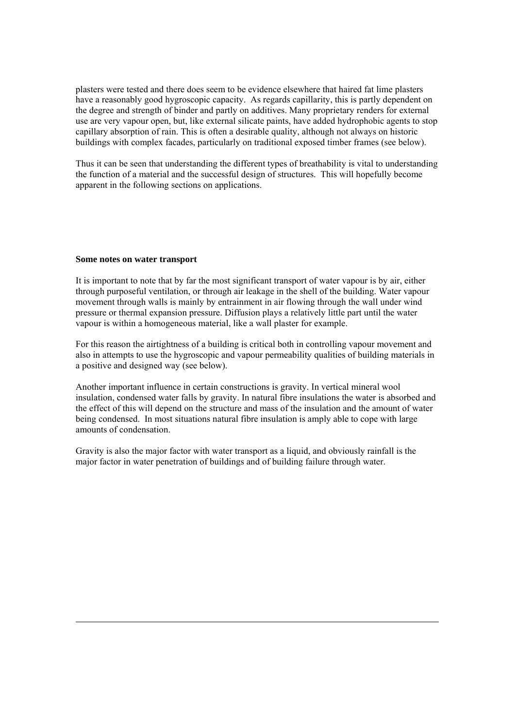plasters were tested and there does seem to be evidence elsewhere that haired fat lime plasters have a reasonably good hygroscopic capacity. As regards capillarity, this is partly dependent on the degree and strength of binder and partly on additives. Many proprietary renders for external use are very vapour open, but, like external silicate paints, have added hydrophobic agents to stop capillary absorption of rain. This is often a desirable quality, although not always on historic buildings with complex facades, particularly on traditional exposed timber frames (see below).

Thus it can be seen that understanding the different types of breathability is vital to understanding the function of a material and the successful design of structures. This will hopefully become apparent in the following sections on applications.

#### **Some notes on water transport**

 $\overline{a}$ 

It is important to note that by far the most significant transport of water vapour is by air, either through purposeful ventilation, or through air leakage in the shell of the building. Water vapour movement through walls is mainly by entrainment in air flowing through the wall under wind pressure or thermal expansion pressure. Diffusion plays a relatively little part until the water vapour is within a homogeneous material, like a wall plaster for example.

For this reason the airtightness of a building is critical both in controlling vapour movement and also in attempts to use the hygroscopic and vapour permeability qualities of building materials in a positive and designed way (see below).

Another important influence in certain constructions is gravity. In vertical mineral wool insulation, condensed water falls by gravity. In natural fibre insulations the water is absorbed and the effect of this will depend on the structure and mass of the insulation and the amount of water being condensed. In most situations natural fibre insulation is amply able to cope with large amounts of condensation.

Gravity is also the major factor with water transport as a liquid, and obviously rainfall is the major factor in water penetration of buildings and of building failure through water.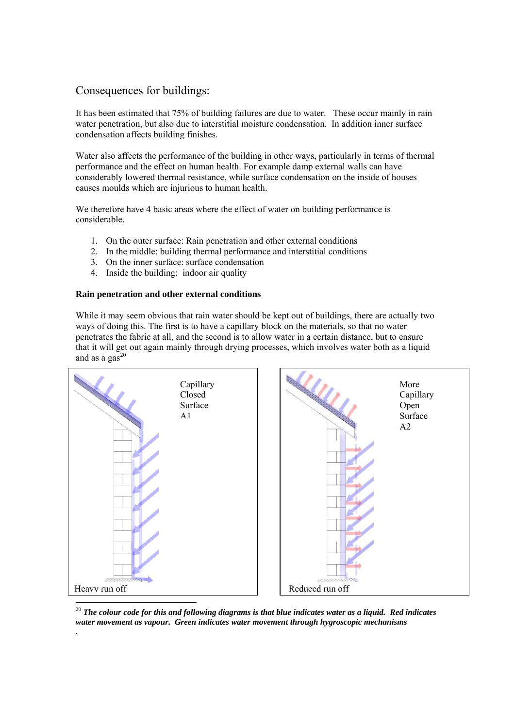# Consequences for buildings:

It has been estimated that 75% of building failures are due to water. These occur mainly in rain water penetration, but also due to interstitial moisture condensation. In addition inner surface condensation affects building finishes.

Water also affects the performance of the building in other ways, particularly in terms of thermal performance and the effect on human health. For example damp external walls can have considerably lowered thermal resistance, while surface condensation on the inside of houses causes moulds which are injurious to human health.

We therefore have 4 basic areas where the effect of water on building performance is considerable.

- 1. On the outer surface: Rain penetration and other external conditions
- 2. In the middle: building thermal performance and interstitial conditions
- 3. On the inner surface: surface condensation
- 4. Inside the building: indoor air quality

# **Rain penetration and other external conditions**

.

While it may seem obvious that rain water should be kept out of buildings, there are actually two ways of doing this. The first is to have a capillary block on the materials, so that no water penetrates the fabric at all, and the second is to allow water in a certain distance, but to ensure that it will get out again mainly through drying processes, which involves water both as a liquid and as a gas $^{20}$ 



 $^{20}$  The colour code for this and following diagrams is that blue indicates water as a liquid. Red indicates *water movement as vapour. Green indicates water movement through hygroscopic mechanisms*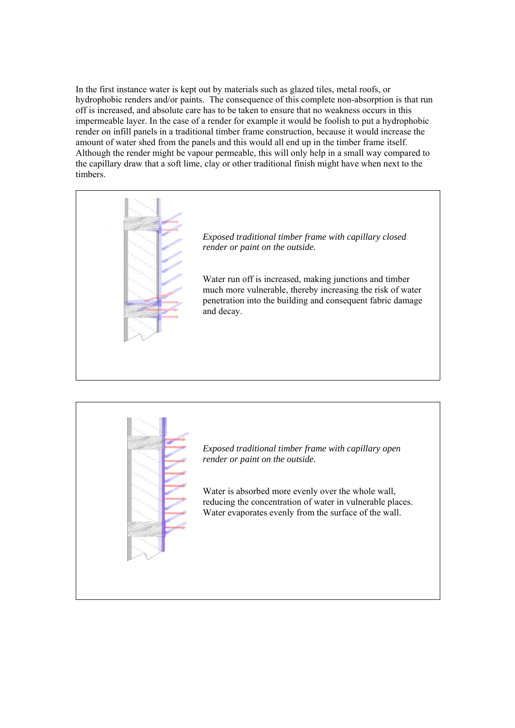In the first instance water is kept out by materials such as glazed tiles, metal roofs, or hydrophobic renders and/or paints. The consequence of this complete non-absorption is that run off is increased, and absolute care has to be taken to ensure that no weakness occurs in this impermeable layer. In the case of a render for example it would be foolish to put a hydrophobic render on infill panels in a traditional timber frame construction, because it would increase the amount of water shed from the panels and this would all end up in the timber frame itself. Although the render might be vapour permeable, this will only help in a small way compared to the capillary draw that a soft lime, clay or other traditional finish might have when next to the timbers.





*Exposed traditional timber frame with capillary open render or paint on the outside.* 

Water is absorbed more evenly over the whole wall, reducing the concentration of water in vulnerable places. Water evaporates evenly from the surface of the wall.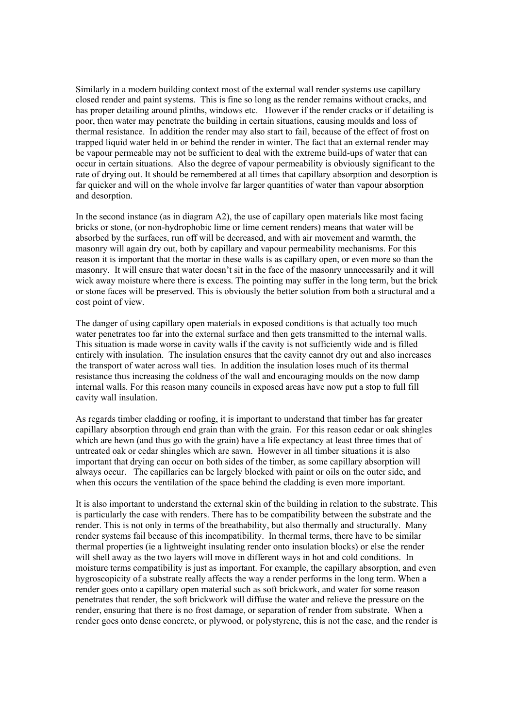Similarly in a modern building context most of the external wall render systems use capillary closed render and paint systems. This is fine so long as the render remains without cracks, and has proper detailing around plinths, windows etc. However if the render cracks or if detailing is poor, then water may penetrate the building in certain situations, causing moulds and loss of thermal resistance. In addition the render may also start to fail, because of the effect of frost on trapped liquid water held in or behind the render in winter. The fact that an external render may be vapour permeable may not be sufficient to deal with the extreme build-ups of water that can occur in certain situations. Also the degree of vapour permeability is obviously significant to the rate of drying out. It should be remembered at all times that capillary absorption and desorption is far quicker and will on the whole involve far larger quantities of water than vapour absorption and desorption.

In the second instance (as in diagram  $A2$ ), the use of capillary open materials like most facing bricks or stone, (or non-hydrophobic lime or lime cement renders) means that water will be absorbed by the surfaces, run off will be decreased, and with air movement and warmth, the masonry will again dry out, both by capillary and vapour permeability mechanisms. For this reason it is important that the mortar in these walls is as capillary open, or even more so than the masonry. It will ensure that water doesn't sit in the face of the masonry unnecessarily and it will wick away moisture where there is excess. The pointing may suffer in the long term, but the brick or stone faces will be preserved. This is obviously the better solution from both a structural and a cost point of view.

The danger of using capillary open materials in exposed conditions is that actually too much water penetrates too far into the external surface and then gets transmitted to the internal walls. This situation is made worse in cavity walls if the cavity is not sufficiently wide and is filled entirely with insulation. The insulation ensures that the cavity cannot dry out and also increases the transport of water across wall ties. In addition the insulation loses much of its thermal resistance thus increasing the coldness of the wall and encouraging moulds on the now damp internal walls. For this reason many councils in exposed areas have now put a stop to full fill cavity wall insulation.

As regards timber cladding or roofing, it is important to understand that timber has far greater capillary absorption through end grain than with the grain. For this reason cedar or oak shingles which are hewn (and thus go with the grain) have a life expectancy at least three times that of untreated oak or cedar shingles which are sawn. However in all timber situations it is also important that drying can occur on both sides of the timber, as some capillary absorption will always occur. The capillaries can be largely blocked with paint or oils on the outer side, and when this occurs the ventilation of the space behind the cladding is even more important.

It is also important to understand the external skin of the building in relation to the substrate. This is particularly the case with renders. There has to be compatibility between the substrate and the render. This is not only in terms of the breathability, but also thermally and structurally. Many render systems fail because of this incompatibility. In thermal terms, there have to be similar thermal properties (ie a lightweight insulating render onto insulation blocks) or else the render will shell away as the two layers will move in different ways in hot and cold conditions. In moisture terms compatibility is just as important. For example, the capillary absorption, and even hygroscopicity of a substrate really affects the way a render performs in the long term. When a render goes onto a capillary open material such as soft brickwork, and water for some reason penetrates that render, the soft brickwork will diffuse the water and relieve the pressure on the render, ensuring that there is no frost damage, or separation of render from substrate. When a render goes onto dense concrete, or plywood, or polystyrene, this is not the case, and the render is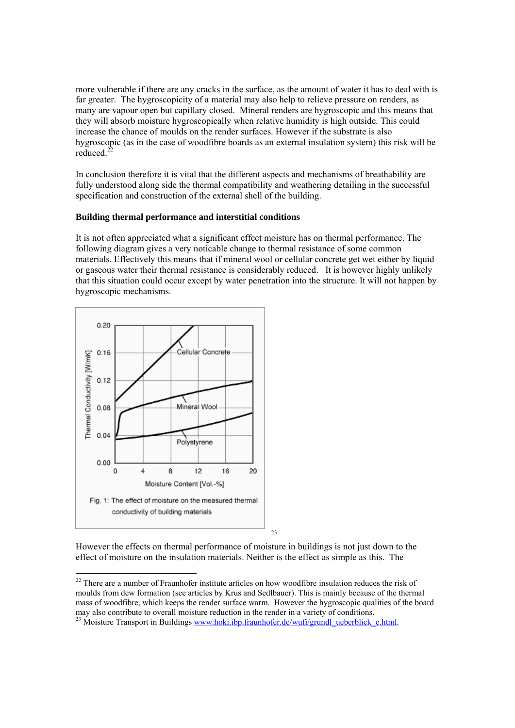more vulnerable if there are any cracks in the surface, as the amount of water it has to deal with is far greater. The hygroscopicity of a material may also help to relieve pressure on renders, as many are vapour open but capillary closed. Mineral renders are hygroscopic and this means that they will absorb moisture hygroscopically when relative humidity is high outside. This could increase the chance of moulds on the render surfaces. However if the substrate is also hygroscopic (as in the case of woodfibre boards as an external insulation system) this risk will be reduced. $^{22}$ 

In conclusion therefore it is vital that the different aspects and mechanisms of breathability are fully understood along side the thermal compatibility and weathering detailing in the successful specification and construction of the external shell of the building.

# **Building thermal performance and interstitial conditions**

It is not often appreciated what a significant effect moisture has on thermal performance. The following diagram gives a very noticable change to thermal resistance of some common materials. Effectively this means that if mineral wool or cellular concrete get wet either by liquid or gaseous water their thermal resistance is considerably reduced. It is however highly unlikely that this situation could occur except by water penetration into the structure. It will not happen by hygroscopic mechanisms.



However the effects on thermal performance of moisture in buildings is not just down to the effect of moisture on the insulation materials. Neither is the effect as simple as this. The

 $22$  There are a number of Fraunhofer institute articles on how woodfibre insulation reduces the risk of moulds from dew formation (see articles by Krus and Sedlbauer). This is mainly because of the thermal mass of woodfibre, which keeps the render surface warm. However the hygroscopic qualities of the board may also contribute to overall moisture reduction in the render in a variety of conditions.

<sup>&</sup>lt;sup>23</sup> Moisture Transport in Buildings www.hoki.ibp.fraunhofer.de/wufi/grundl\_ueberblick\_e.html.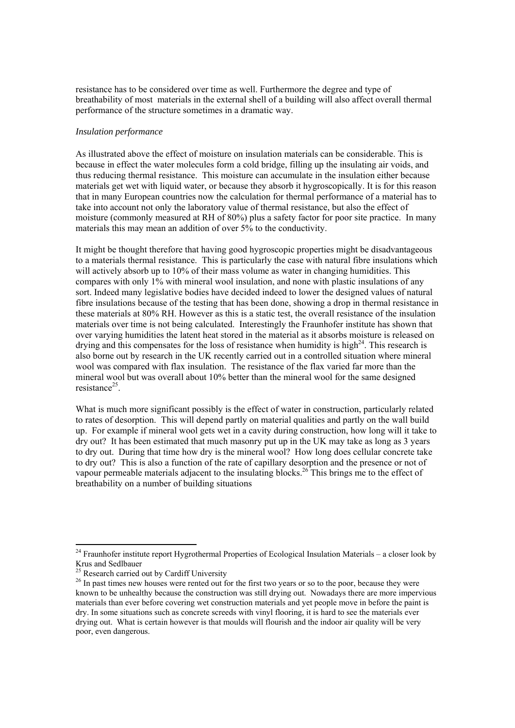resistance has to be considered over time as well. Furthermore the degree and type of breathability of most materials in the external shell of a building will also affect overall thermal performance of the structure sometimes in a dramatic way.

## *Insulation performance*

As illustrated above the effect of moisture on insulation materials can be considerable. This is because in effect the water molecules form a cold bridge, filling up the insulating air voids, and thus reducing thermal resistance. This moisture can accumulate in the insulation either because materials get wet with liquid water, or because they absorb it hygroscopically. It is for this reason that in many European countries now the calculation for thermal performance of a material has to take into account not only the laboratory value of thermal resistance, but also the effect of moisture (commonly measured at RH of 80%) plus a safety factor for poor site practice. In many materials this may mean an addition of over 5% to the conductivity.

It might be thought therefore that having good hygroscopic properties might be disadvantageous to a materials thermal resistance. This is particularly the case with natural fibre insulations which will actively absorb up to 10% of their mass volume as water in changing humidities. This compares with only 1% with mineral wool insulation, and none with plastic insulations of any sort. Indeed many legislative bodies have decided indeed to lower the designed values of natural fibre insulations because of the testing that has been done, showing a drop in thermal resistance in these materials at 80% RH. However as this is a static test, the overall resistance of the insulation materials over time is not being calculated. Interestingly the Fraunhofer institute has shown that over varying humidities the latent heat stored in the material as it absorbs moisture is released on drying and this compensates for the loss of resistance when humidity is high<sup>24</sup>. This research is also borne out by research in the UK recently carried out in a controlled situation where mineral wool was compared with flax insulation. The resistance of the flax varied far more than the mineral wool but was overall about 10% better than the mineral wool for the same designed resistance<sup>25</sup>.

What is much more significant possibly is the effect of water in construction, particularly related to rates of desorption. This will depend partly on material qualities and partly on the wall build up. For example if mineral wool gets wet in a cavity during construction, how long will it take to dry out? It has been estimated that much masonry put up in the UK may take as long as 3 years to dry out. During that time how dry is the mineral wool? How long does cellular concrete take to dry out? This is also a function of the rate of capillary desorption and the presence or not of vapour permeable materials adjacent to the insulating blocks.<sup>26</sup> This brings me to the effect of breathability on a number of building situations

  $24$  Fraunhofer institute report Hygrothermal Properties of Ecological Insulation Materials – a closer look by Krus and Sedlbauer

 $^{25}$  Research carried out by Cardiff University

<sup>&</sup>lt;sup>26</sup> In past times new houses were rented out for the first two years or so to the poor, because they were known to be unhealthy because the construction was still drying out. Nowadays there are more impervious materials than ever before covering wet construction materials and yet people move in before the paint is dry. In some situations such as concrete screeds with vinyl flooring, it is hard to see the materials ever drying out. What is certain however is that moulds will flourish and the indoor air quality will be very poor, even dangerous.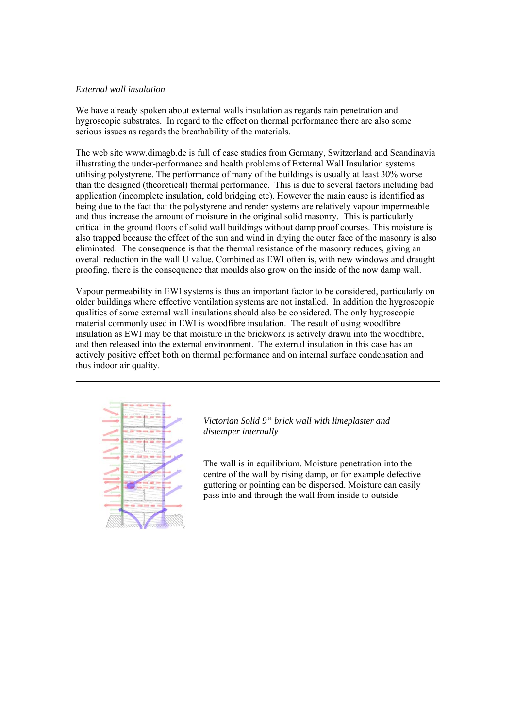## *External wall insulation*

We have already spoken about external walls insulation as regards rain penetration and hygroscopic substrates. In regard to the effect on thermal performance there are also some serious issues as regards the breathability of the materials.

The web site www.dimagb.de is full of case studies from Germany, Switzerland and Scandinavia illustrating the under-performance and health problems of External Wall Insulation systems utilising polystyrene. The performance of many of the buildings is usually at least 30% worse than the designed (theoretical) thermal performance. This is due to several factors including bad application (incomplete insulation, cold bridging etc). However the main cause is identified as being due to the fact that the polystyrene and render systems are relatively vapour impermeable and thus increase the amount of moisture in the original solid masonry. This is particularly critical in the ground floors of solid wall buildings without damp proof courses. This moisture is also trapped because the effect of the sun and wind in drying the outer face of the masonry is also eliminated. The consequence is that the thermal resistance of the masonry reduces, giving an overall reduction in the wall U value. Combined as EWI often is, with new windows and draught proofing, there is the consequence that moulds also grow on the inside of the now damp wall.

Vapour permeability in EWI systems is thus an important factor to be considered, particularly on older buildings where effective ventilation systems are not installed. In addition the hygroscopic qualities of some external wall insulations should also be considered. The only hygroscopic material commonly used in EWI is woodfibre insulation. The result of using woodfibre insulation as EWI may be that moisture in the brickwork is actively drawn into the woodfibre, and then released into the external environment. The external insulation in this case has an actively positive effect both on thermal performance and on internal surface condensation and thus indoor air quality.



*Victorian Solid 9" brick wall with limeplaster and distemper internally*

The wall is in equilibrium. Moisture penetration into the centre of the wall by rising damp, or for example defective guttering or pointing can be dispersed. Moisture can easily pass into and through the wall from inside to outside.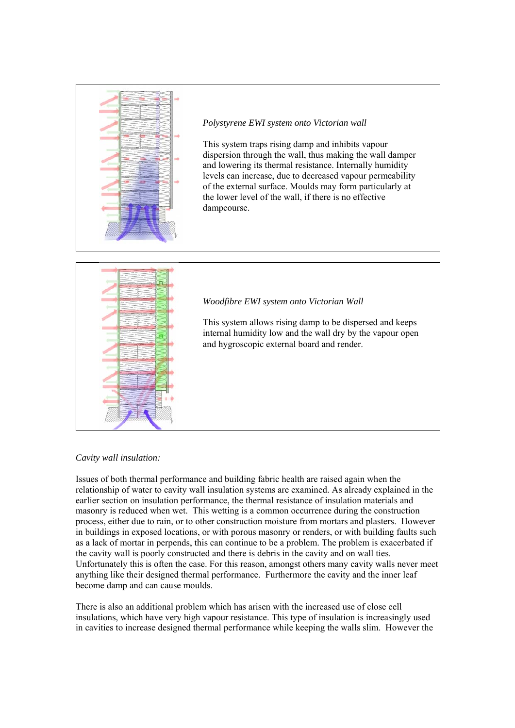

*Polystyrene EWI system onto Victorian wall* 

This system traps rising damp and inhibits vapour dispersion through the wall, thus making the wall damper and lowering its thermal resistance. Internally humidity levels can increase, due to decreased vapour permeability of the external surface. Moulds may form particularly at the lower level of the wall, if there is no effective dampcourse.



# *Woodfibre EWI system onto Victorian Wall*

This system allows rising damp to be dispersed and keeps internal humidity low and the wall dry by the vapour open and hygroscopic external board and render.

# *Cavity wall insulation:*

Issues of both thermal performance and building fabric health are raised again when the relationship of water to cavity wall insulation systems are examined. As already explained in the earlier section on insulation performance, the thermal resistance of insulation materials and masonry is reduced when wet. This wetting is a common occurrence during the construction process, either due to rain, or to other construction moisture from mortars and plasters. However in buildings in exposed locations, or with porous masonry or renders, or with building faults such as a lack of mortar in perpends, this can continue to be a problem. The problem is exacerbated if the cavity wall is poorly constructed and there is debris in the cavity and on wall ties. Unfortunately this is often the case. For this reason, amongst others many cavity walls never meet anything like their designed thermal performance. Furthermore the cavity and the inner leaf become damp and can cause moulds.

There is also an additional problem which has arisen with the increased use of close cell insulations, which have very high vapour resistance. This type of insulation is increasingly used in cavities to increase designed thermal performance while keeping the walls slim. However the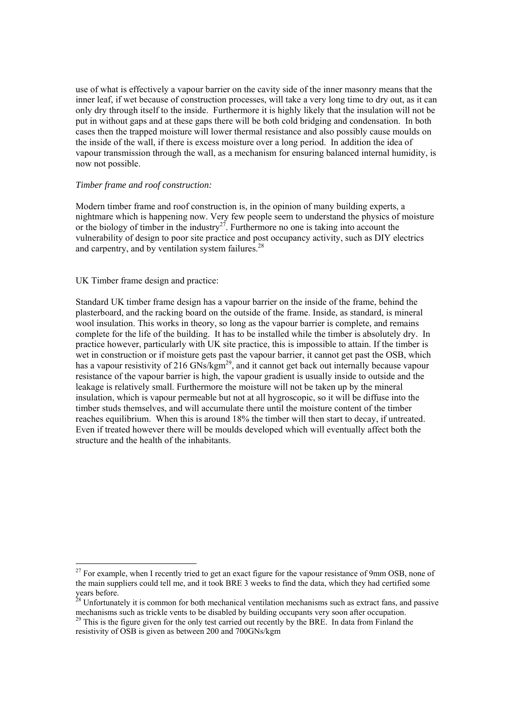use of what is effectively a vapour barrier on the cavity side of the inner masonry means that the inner leaf, if wet because of construction processes, will take a very long time to dry out, as it can only dry through itself to the inside. Furthermore it is highly likely that the insulation will not be put in without gaps and at these gaps there will be both cold bridging and condensation. In both cases then the trapped moisture will lower thermal resistance and also possibly cause moulds on the inside of the wall, if there is excess moisture over a long period. In addition the idea of vapour transmission through the wall, as a mechanism for ensuring balanced internal humidity, is now not possible.

## *Timber frame and roof construction:*

Modern timber frame and roof construction is, in the opinion of many building experts, a nightmare which is happening now. Very few people seem to understand the physics of moisture or the biology of timber in the industry<sup>27</sup>. Furthermore no one is taking into account the vulnerability of design to poor site practice and post occupancy activity, such as DIY electrics and carpentry, and by ventilation system failures.<sup>28</sup>

#### UK Timber frame design and practice:

l

Standard UK timber frame design has a vapour barrier on the inside of the frame, behind the plasterboard, and the racking board on the outside of the frame. Inside, as standard, is mineral wool insulation. This works in theory, so long as the vapour barrier is complete, and remains complete for the life of the building. It has to be installed while the timber is absolutely dry. In practice however, particularly with UK site practice, this is impossible to attain. If the timber is wet in construction or if moisture gets past the vapour barrier, it cannot get past the OSB, which has a vapour resistivity of 216 GNs/kgm<sup>29</sup>, and it cannot get back out internally because vapour resistance of the vapour barrier is high, the vapour gradient is usually inside to outside and the leakage is relatively small. Furthermore the moisture will not be taken up by the mineral insulation, which is vapour permeable but not at all hygroscopic, so it will be diffuse into the timber studs themselves, and will accumulate there until the moisture content of the timber reaches equilibrium. When this is around 18% the timber will then start to decay, if untreated. Even if treated however there will be moulds developed which will eventually affect both the structure and the health of the inhabitants.

 $27$  For example, when I recently tried to get an exact figure for the vapour resistance of 9mm OSB, none of the main suppliers could tell me, and it took BRE 3 weeks to find the data, which they had certified some years before.

<sup>&</sup>lt;sup>28</sup> Unfortunately it is common for both mechanical ventilation mechanisms such as extract fans, and passive mechanisms such as trickle vents to be disabled by building occupants very soon after occupation.

 $29$  This is the figure given for the only test carried out recently by the BRE. In data from Finland the resistivity of OSB is given as between 200 and 700GNs/kgm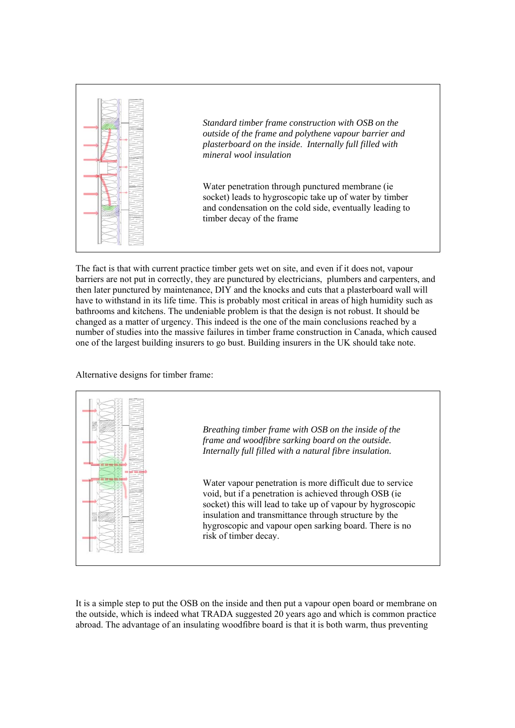

The fact is that with current practice timber gets wet on site, and even if it does not, vapour barriers are not put in correctly, they are punctured by electricians, plumbers and carpenters, and then later punctured by maintenance, DIY and the knocks and cuts that a plasterboard wall will have to withstand in its life time. This is probably most critical in areas of high humidity such as bathrooms and kitchens. The undeniable problem is that the design is not robust. It should be changed as a matter of urgency. This indeed is the one of the main conclusions reached by a number of studies into the massive failures in timber frame construction in Canada, which caused one of the largest building insurers to go bust. Building insurers in the UK should take note.

Alternative designs for timber frame:



It is a simple step to put the OSB on the inside and then put a vapour open board or membrane on the outside, which is indeed what TRADA suggested 20 years ago and which is common practice abroad. The advantage of an insulating woodfibre board is that it is both warm, thus preventing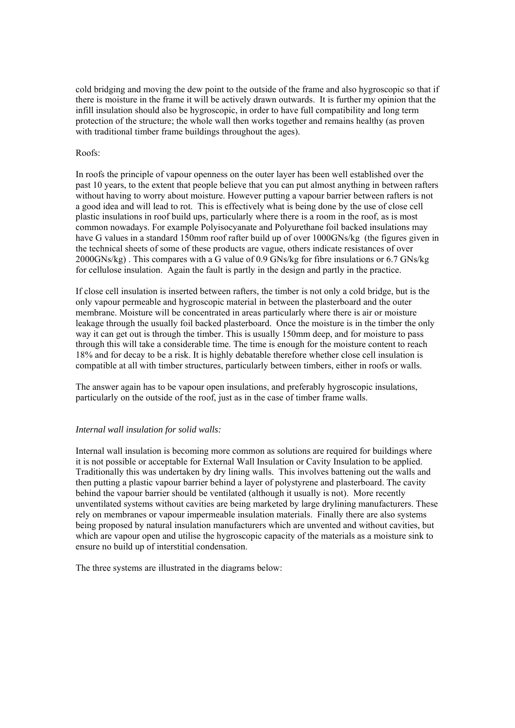cold bridging and moving the dew point to the outside of the frame and also hygroscopic so that if there is moisture in the frame it will be actively drawn outwards. It is further my opinion that the infill insulation should also be hygroscopic, in order to have full compatibility and long term protection of the structure; the whole wall then works together and remains healthy (as proven with traditional timber frame buildings throughout the ages).

## Roofs:

In roofs the principle of vapour openness on the outer layer has been well established over the past 10 years, to the extent that people believe that you can put almost anything in between rafters without having to worry about moisture. However putting a vapour barrier between rafters is not a good idea and will lead to rot. This is effectively what is being done by the use of close cell plastic insulations in roof build ups, particularly where there is a room in the roof, as is most common nowadays. For example Polyisocyanate and Polyurethane foil backed insulations may have G values in a standard 150mm roof rafter build up of over 1000GNs/kg (the figures given in the technical sheets of some of these products are vague, others indicate resistances of over 2000GNs/kg) . This compares with a G value of 0.9 GNs/kg for fibre insulations or 6.7 GNs/kg for cellulose insulation. Again the fault is partly in the design and partly in the practice.

If close cell insulation is inserted between rafters, the timber is not only a cold bridge, but is the only vapour permeable and hygroscopic material in between the plasterboard and the outer membrane. Moisture will be concentrated in areas particularly where there is air or moisture leakage through the usually foil backed plasterboard. Once the moisture is in the timber the only way it can get out is through the timber. This is usually 150mm deep, and for moisture to pass through this will take a considerable time. The time is enough for the moisture content to reach 18% and for decay to be a risk. It is highly debatable therefore whether close cell insulation is compatible at all with timber structures, particularly between timbers, either in roofs or walls.

The answer again has to be vapour open insulations, and preferably hygroscopic insulations, particularly on the outside of the roof, just as in the case of timber frame walls.

#### *Internal wall insulation for solid walls:*

Internal wall insulation is becoming more common as solutions are required for buildings where it is not possible or acceptable for External Wall Insulation or Cavity Insulation to be applied. Traditionally this was undertaken by dry lining walls. This involves battening out the walls and then putting a plastic vapour barrier behind a layer of polystyrene and plasterboard. The cavity behind the vapour barrier should be ventilated (although it usually is not). More recently unventilated systems without cavities are being marketed by large drylining manufacturers. These rely on membranes or vapour impermeable insulation materials. Finally there are also systems being proposed by natural insulation manufacturers which are unvented and without cavities, but which are vapour open and utilise the hygroscopic capacity of the materials as a moisture sink to ensure no build up of interstitial condensation.

The three systems are illustrated in the diagrams below: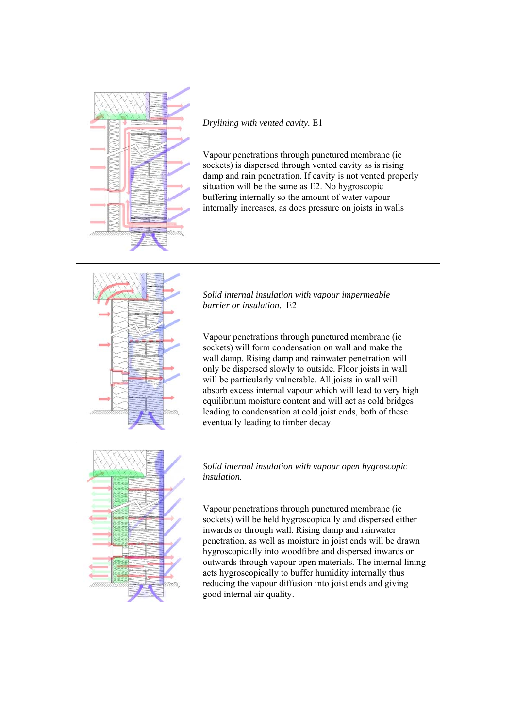

*Drylining with vented cavity.* E1

Vapour penetrations through punctured membrane (ie sockets) is dispersed through vented cavity as is rising damp and rain penetration. If cavity is not vented properly situation will be the same as E2. No hygroscopic buffering internally so the amount of water vapour internally increases, as does pressure on joists in walls



*Solid internal insulation with vapour impermeable barrier or insulation.* E2

Vapour penetrations through punctured membrane (ie sockets) will form condensation on wall and make the wall damp. Rising damp and rainwater penetration will only be dispersed slowly to outside. Floor joists in wall will be particularly vulnerable. All joists in wall will absorb excess internal vapour which will lead to very high equilibrium moisture content and will act as cold bridges leading to condensation at cold joist ends, both of these eventually leading to timber decay.



*Solid internal insulation with vapour open hygroscopic insulation.*

Vapour penetrations through punctured membrane (ie sockets) will be held hygroscopically and dispersed either inwards or through wall. Rising damp and rainwater penetration, as well as moisture in joist ends will be drawn hygroscopically into woodfibre and dispersed inwards or outwards through vapour open materials. The internal lining acts hygroscopically to buffer humidity internally thus reducing the vapour diffusion into joist ends and giving good internal air quality.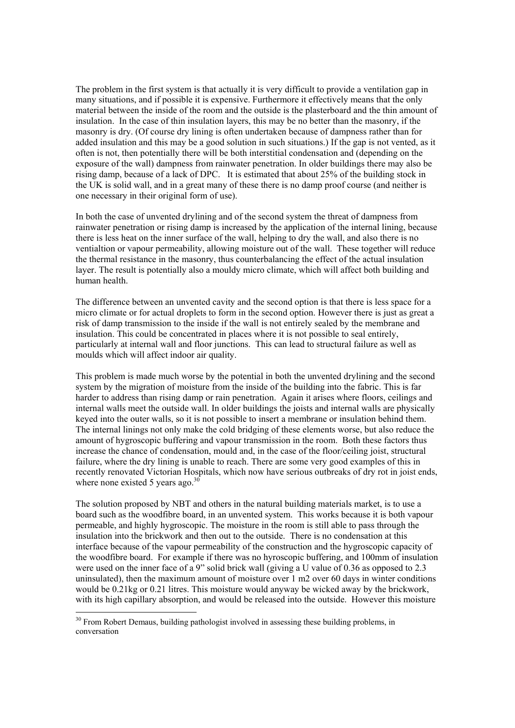The problem in the first system is that actually it is very difficult to provide a ventilation gap in many situations, and if possible it is expensive. Furthermore it effectively means that the only material between the inside of the room and the outside is the plasterboard and the thin amount of insulation. In the case of thin insulation layers, this may be no better than the masonry, if the masonry is dry. (Of course dry lining is often undertaken because of dampness rather than for added insulation and this may be a good solution in such situations.) If the gap is not vented, as it often is not, then potentially there will be both interstitial condensation and (depending on the exposure of the wall) dampness from rainwater penetration. In older buildings there may also be rising damp, because of a lack of DPC. It is estimated that about 25% of the building stock in the UK is solid wall, and in a great many of these there is no damp proof course (and neither is one necessary in their original form of use).

In both the case of unvented drylining and of the second system the threat of dampness from rainwater penetration or rising damp is increased by the application of the internal lining, because there is less heat on the inner surface of the wall, helping to dry the wall, and also there is no ventialtion or vapour permeability, allowing moisture out of the wall. These together will reduce the thermal resistance in the masonry, thus counterbalancing the effect of the actual insulation layer. The result is potentially also a mouldy micro climate, which will affect both building and human health.

The difference between an unvented cavity and the second option is that there is less space for a micro climate or for actual droplets to form in the second option. However there is just as great a risk of damp transmission to the inside if the wall is not entirely sealed by the membrane and insulation. This could be concentrated in places where it is not possible to seal entirely, particularly at internal wall and floor junctions. This can lead to structural failure as well as moulds which will affect indoor air quality.

This problem is made much worse by the potential in both the unvented drylining and the second system by the migration of moisture from the inside of the building into the fabric. This is far harder to address than rising damp or rain penetration. Again it arises where floors, ceilings and internal walls meet the outside wall. In older buildings the joists and internal walls are physically keyed into the outer walls, so it is not possible to insert a membrane or insulation behind them. The internal linings not only make the cold bridging of these elements worse, but also reduce the amount of hygroscopic buffering and vapour transmission in the room. Both these factors thus increase the chance of condensation, mould and, in the case of the floor/ceiling joist, structural failure, where the dry lining is unable to reach. There are some very good examples of this in recently renovated Victorian Hospitals, which now have serious outbreaks of dry rot in joist ends, where none existed 5 years ago. $30$ 

The solution proposed by NBT and others in the natural building materials market, is to use a board such as the woodfibre board, in an unvented system. This works because it is both vapour permeable, and highly hygroscopic. The moisture in the room is still able to pass through the insulation into the brickwork and then out to the outside. There is no condensation at this interface because of the vapour permeability of the construction and the hygroscopic capacity of the woodfibre board. For example if there was no hyroscopic buffering, and 100mm of insulation were used on the inner face of a 9" solid brick wall (giving a U value of 0.36 as opposed to 2.3 uninsulated), then the maximum amount of moisture over 1 m2 over 60 days in winter conditions would be 0.21kg or 0.21 litres. This moisture would anyway be wicked away by the brickwork, with its high capillary absorption, and would be released into the outside. However this moisture

 $30$  From Robert Demaus, building pathologist involved in assessing these building problems, in conversation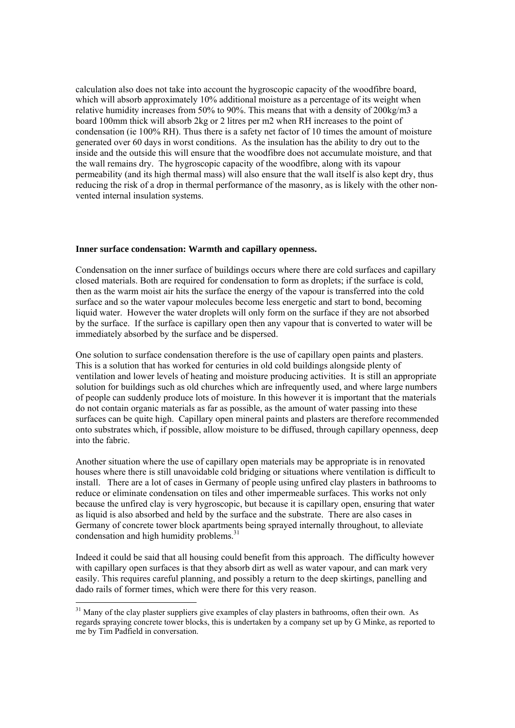calculation also does not take into account the hygroscopic capacity of the woodfibre board, which will absorb approximately 10% additional moisture as a percentage of its weight when relative humidity increases from 50% to 90%. This means that with a density of 200kg/m3 a board 100mm thick will absorb 2kg or 2 litres per m2 when RH increases to the point of condensation (ie 100% RH). Thus there is a safety net factor of 10 times the amount of moisture generated over 60 days in worst conditions. As the insulation has the ability to dry out to the inside and the outside this will ensure that the woodfibre does not accumulate moisture, and that the wall remains dry. The hygroscopic capacity of the woodfibre, along with its vapour permeability (and its high thermal mass) will also ensure that the wall itself is also kept dry, thus reducing the risk of a drop in thermal performance of the masonry, as is likely with the other nonvented internal insulation systems.

#### **Inner surface condensation: Warmth and capillary openness.**

Condensation on the inner surface of buildings occurs where there are cold surfaces and capillary closed materials. Both are required for condensation to form as droplets; if the surface is cold, then as the warm moist air hits the surface the energy of the vapour is transferred into the cold surface and so the water vapour molecules become less energetic and start to bond, becoming liquid water. However the water droplets will only form on the surface if they are not absorbed by the surface. If the surface is capillary open then any vapour that is converted to water will be immediately absorbed by the surface and be dispersed.

One solution to surface condensation therefore is the use of capillary open paints and plasters. This is a solution that has worked for centuries in old cold buildings alongside plenty of ventilation and lower levels of heating and moisture producing activities. It is still an appropriate solution for buildings such as old churches which are infrequently used, and where large numbers of people can suddenly produce lots of moisture. In this however it is important that the materials do not contain organic materials as far as possible, as the amount of water passing into these surfaces can be quite high. Capillary open mineral paints and plasters are therefore recommended onto substrates which, if possible, allow moisture to be diffused, through capillary openness, deep into the fabric.

Another situation where the use of capillary open materials may be appropriate is in renovated houses where there is still unavoidable cold bridging or situations where ventilation is difficult to install. There are a lot of cases in Germany of people using unfired clay plasters in bathrooms to reduce or eliminate condensation on tiles and other impermeable surfaces. This works not only because the unfired clay is very hygroscopic, but because it is capillary open, ensuring that water as liquid is also absorbed and held by the surface and the substrate. There are also cases in Germany of concrete tower block apartments being sprayed internally throughout, to alleviate condensation and high humidity problems.<sup>31</sup>

Indeed it could be said that all housing could benefit from this approach. The difficulty however with capillary open surfaces is that they absorb dirt as well as water vapour, and can mark very easily. This requires careful planning, and possibly a return to the deep skirtings, panelling and dado rails of former times, which were there for this very reason.

<sup>&</sup>lt;sup>31</sup> Many of the clay plaster suppliers give examples of clay plasters in bathrooms, often their own. As regards spraying concrete tower blocks, this is undertaken by a company set up by G Minke, as reported to me by Tim Padfield in conversation.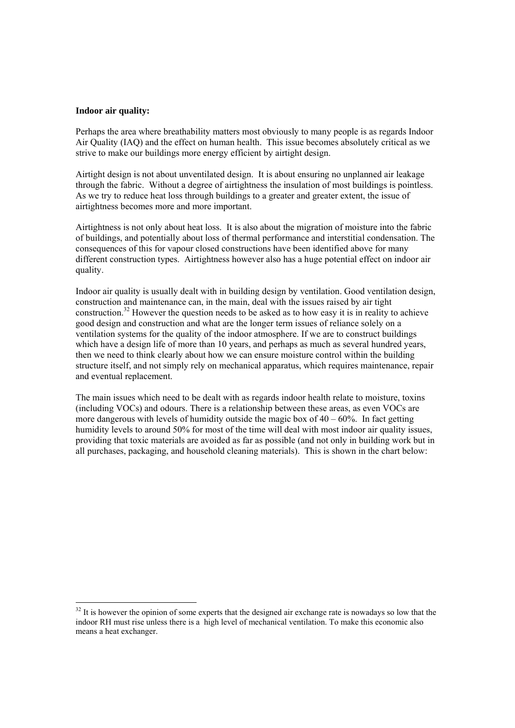#### **Indoor air quality:**

Perhaps the area where breathability matters most obviously to many people is as regards Indoor Air Quality (IAQ) and the effect on human health. This issue becomes absolutely critical as we strive to make our buildings more energy efficient by airtight design.

Airtight design is not about unventilated design. It is about ensuring no unplanned air leakage through the fabric. Without a degree of airtightness the insulation of most buildings is pointless. As we try to reduce heat loss through buildings to a greater and greater extent, the issue of airtightness becomes more and more important.

Airtightness is not only about heat loss. It is also about the migration of moisture into the fabric of buildings, and potentially about loss of thermal performance and interstitial condensation. The consequences of this for vapour closed constructions have been identified above for many different construction types. Airtightness however also has a huge potential effect on indoor air quality.

Indoor air quality is usually dealt with in building design by ventilation. Good ventilation design, construction and maintenance can, in the main, deal with the issues raised by air tight construction.32 However the question needs to be asked as to how easy it is in reality to achieve good design and construction and what are the longer term issues of reliance solely on a ventilation systems for the quality of the indoor atmosphere. If we are to construct buildings which have a design life of more than 10 years, and perhaps as much as several hundred years, then we need to think clearly about how we can ensure moisture control within the building structure itself, and not simply rely on mechanical apparatus, which requires maintenance, repair and eventual replacement.

The main issues which need to be dealt with as regards indoor health relate to moisture, toxins (including VOCs) and odours. There is a relationship between these areas, as even VOCs are more dangerous with levels of humidity outside the magic box of  $40 - 60\%$ . In fact getting humidity levels to around 50% for most of the time will deal with most indoor air quality issues, providing that toxic materials are avoided as far as possible (and not only in building work but in all purchases, packaging, and household cleaning materials). This is shown in the chart below:

<sup>&</sup>lt;sup>32</sup> It is however the opinion of some experts that the designed air exchange rate is nowadays so low that the indoor RH must rise unless there is a high level of mechanical ventilation. To make this economic also means a heat exchanger.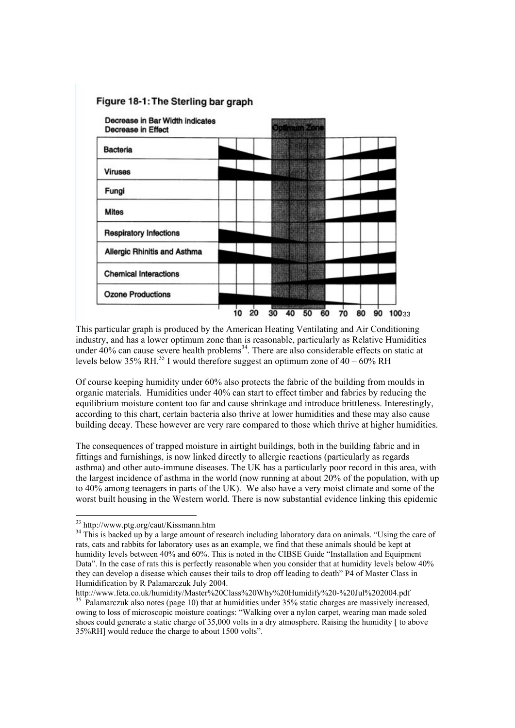# Figure 18-1: The Sterling bar graph



This particular graph is produced by the American Heating Ventilating and Air Conditioning industry, and has a lower optimum zone than is reasonable, particularly as Relative Humidities under  $40\%$  can cause severe health problems<sup>34</sup>. There are also considerable effects on static at levels below 35% RH.<sup>35</sup> I would therefore suggest an optimum zone of  $40 - 60\%$  RH

Of course keeping humidity under 60% also protects the fabric of the building from moulds in organic materials. Humidities under 40% can start to effect timber and fabrics by reducing the equilibrium moisture content too far and cause shrinkage and introduce brittleness. Interestingly, according to this chart, certain bacteria also thrive at lower humidities and these may also cause building decay. These however are very rare compared to those which thrive at higher humidities.

The consequences of trapped moisture in airtight buildings, both in the building fabric and in fittings and furnishings, is now linked directly to allergic reactions (particularly as regards asthma) and other auto-immune diseases. The UK has a particularly poor record in this area, with the largest incidence of asthma in the world (now running at about 20% of the population, with up to 40% among teenagers in parts of the UK). We also have a very moist climate and some of the worst built housing in the Western world. There is now substantial evidence linking this epidemic

l

<sup>&</sup>lt;sup>33</sup> http://www.ptg.org/caut/Kissmann.htm

<sup>&</sup>lt;sup>34</sup> This is backed up by a large amount of research including laboratory data on animals. "Using the care of rats, cats and rabbits for laboratory uses as an example, we find that these animals should be kept at humidity levels between 40% and 60%. This is noted in the CIBSE Guide "Installation and Equipment Data". In the case of rats this is perfectly reasonable when you consider that at humidity levels below 40% they can develop a disease which causes their tails to drop off leading to death" P4 of Master Class in Humidification by R Palamarczuk July 2004.

http://www.feta.co.uk/humidity/Master%20Class%20Why%20Humidify%20-%20Jul%202004.pdf <sup>35</sup> Palamarczuk also notes (page 10) that at humidities under 35% static charges are massively increased, owing to loss of microscopic moisture coatings: "Walking over a nylon carpet, wearing man made soled shoes could generate a static charge of 35,000 volts in a dry atmosphere. Raising the humidity [ to above 35%RH] would reduce the charge to about 1500 volts".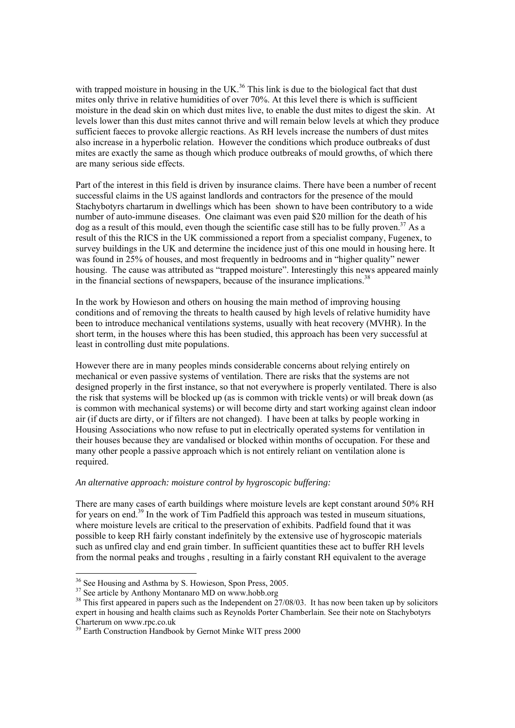with trapped moisture in housing in the UK.<sup>36</sup> This link is due to the biological fact that dust mites only thrive in relative humidities of over 70%. At this level there is which is sufficient moisture in the dead skin on which dust mites live, to enable the dust mites to digest the skin. At levels lower than this dust mites cannot thrive and will remain below levels at which they produce sufficient faeces to provoke allergic reactions. As RH levels increase the numbers of dust mites also increase in a hyperbolic relation. However the conditions which produce outbreaks of dust mites are exactly the same as though which produce outbreaks of mould growths, of which there are many serious side effects.

Part of the interest in this field is driven by insurance claims. There have been a number of recent successful claims in the US against landlords and contractors for the presence of the mould Stachybotyrs chartarum in dwellings which has been shown to have been contributory to a wide number of auto-immune diseases. One claimant was even paid \$20 million for the death of his  $\log$  as a result of this mould, even though the scientific case still has to be fully proven.<sup>37</sup> As a result of this the RICS in the UK commissioned a report from a specialist company, Fugenex, to survey buildings in the UK and determine the incidence just of this one mould in housing here. It was found in 25% of houses, and most frequently in bedrooms and in "higher quality" newer housing. The cause was attributed as "trapped moisture". Interestingly this news appeared mainly in the financial sections of newspapers, because of the insurance implications.<sup>38</sup>

In the work by Howieson and others on housing the main method of improving housing conditions and of removing the threats to health caused by high levels of relative humidity have been to introduce mechanical ventilations systems, usually with heat recovery (MVHR). In the short term, in the houses where this has been studied, this approach has been very successful at least in controlling dust mite populations.

However there are in many peoples minds considerable concerns about relying entirely on mechanical or even passive systems of ventilation. There are risks that the systems are not designed properly in the first instance, so that not everywhere is properly ventilated. There is also the risk that systems will be blocked up (as is common with trickle vents) or will break down (as is common with mechanical systems) or will become dirty and start working against clean indoor air (if ducts are dirty, or if filters are not changed). I have been at talks by people working in Housing Associations who now refuse to put in electrically operated systems for ventilation in their houses because they are vandalised or blocked within months of occupation. For these and many other people a passive approach which is not entirely reliant on ventilation alone is required.

# *An alternative approach: moisture control by hygroscopic buffering:*

There are many cases of earth buildings where moisture levels are kept constant around 50% RH for years on end.<sup>39</sup> In the work of Tim Padfield this approach was tested in museum situations, where moisture levels are critical to the preservation of exhibits. Padfield found that it was possible to keep RH fairly constant indefinitely by the extensive use of hygroscopic materials such as unfired clay and end grain timber. In sufficient quantities these act to buffer RH levels from the normal peaks and troughs , resulting in a fairly constant RH equivalent to the average

<sup>&</sup>lt;sup>36</sup> See Housing and Asthma by S. Howieson, Spon Press, 2005.

<sup>&</sup>lt;sup>37</sup> See article by Anthony Montanaro MD on www.hobb.org

<sup>&</sup>lt;sup>38</sup> This first appeared in papers such as the Independent on  $27/08/03$ . It has now been taken up by solicitors expert in housing and health claims such as Reynolds Porter Chamberlain. See their note on Stachybotyrs Charterum on www.rpc.co.uk

<sup>&</sup>lt;sup>39</sup> Earth Construction Handbook by Gernot Minke WIT press 2000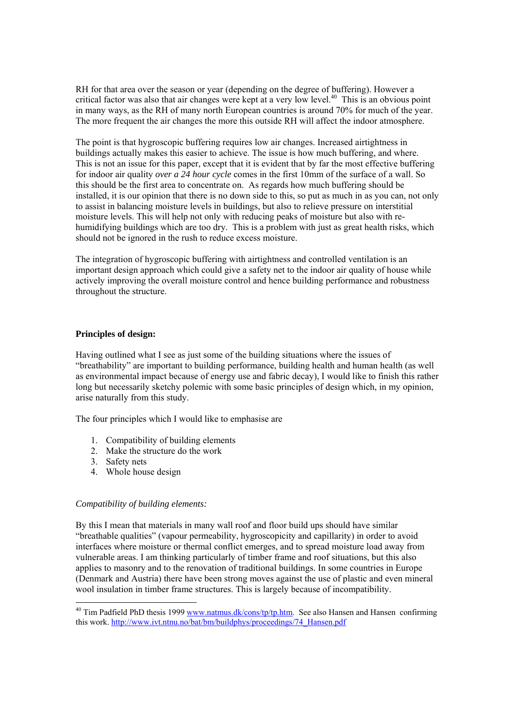RH for that area over the season or year (depending on the degree of buffering). However a critical factor was also that air changes were kept at a very low level.<sup>40</sup> This is an obvious point in many ways, as the RH of many north European countries is around 70% for much of the year. The more frequent the air changes the more this outside RH will affect the indoor atmosphere.

The point is that hygroscopic buffering requires low air changes. Increased airtightness in buildings actually makes this easier to achieve. The issue is how much buffering, and where. This is not an issue for this paper, except that it is evident that by far the most effective buffering for indoor air quality *over a 24 hour cycle* comes in the first 10mm of the surface of a wall. So this should be the first area to concentrate on. As regards how much buffering should be installed, it is our opinion that there is no down side to this, so put as much in as you can, not only to assist in balancing moisture levels in buildings, but also to relieve pressure on interstitial moisture levels. This will help not only with reducing peaks of moisture but also with rehumidifying buildings which are too dry. This is a problem with just as great health risks, which should not be ignored in the rush to reduce excess moisture.

The integration of hygroscopic buffering with airtightness and controlled ventilation is an important design approach which could give a safety net to the indoor air quality of house while actively improving the overall moisture control and hence building performance and robustness throughout the structure.

# **Principles of design:**

Having outlined what I see as just some of the building situations where the issues of "breathability" are important to building performance, building health and human health (as well as environmental impact because of energy use and fabric decay), I would like to finish this rather long but necessarily sketchy polemic with some basic principles of design which, in my opinion, arise naturally from this study.

The four principles which I would like to emphasise are

- 1. Compatibility of building elements
- 2. Make the structure do the work
- 3. Safety nets

4. Whole house design

#### *Compatibility of building elements:*

By this I mean that materials in many wall roof and floor build ups should have similar "breathable qualities" (vapour permeability, hygroscopicity and capillarity) in order to avoid interfaces where moisture or thermal conflict emerges, and to spread moisture load away from vulnerable areas. I am thinking particularly of timber frame and roof situations, but this also applies to masonry and to the renovation of traditional buildings. In some countries in Europe (Denmark and Austria) there have been strong moves against the use of plastic and even mineral wool insulation in timber frame structures. This is largely because of incompatibility.

<sup>&</sup>lt;sup>40</sup> Tim Padfield PhD thesis 1999 www.natmus.dk/cons/tp/tp.htm. See also Hansen and Hansen confirming this work. http://www.ivt.ntnu.no/bat/bm/buildphys/proceedings/74\_Hansen.pdf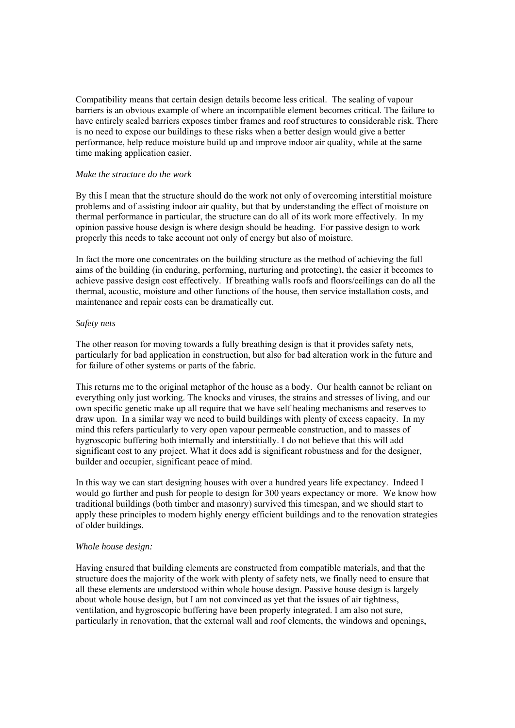Compatibility means that certain design details become less critical. The sealing of vapour barriers is an obvious example of where an incompatible element becomes critical. The failure to have entirely sealed barriers exposes timber frames and roof structures to considerable risk. There is no need to expose our buildings to these risks when a better design would give a better performance, help reduce moisture build up and improve indoor air quality, while at the same time making application easier.

#### *Make the structure do the work*

By this I mean that the structure should do the work not only of overcoming interstitial moisture problems and of assisting indoor air quality, but that by understanding the effect of moisture on thermal performance in particular, the structure can do all of its work more effectively. In my opinion passive house design is where design should be heading. For passive design to work properly this needs to take account not only of energy but also of moisture.

In fact the more one concentrates on the building structure as the method of achieving the full aims of the building (in enduring, performing, nurturing and protecting), the easier it becomes to achieve passive design cost effectively. If breathing walls roofs and floors/ceilings can do all the thermal, acoustic, moisture and other functions of the house, then service installation costs, and maintenance and repair costs can be dramatically cut.

#### *Safety nets*

The other reason for moving towards a fully breathing design is that it provides safety nets, particularly for bad application in construction, but also for bad alteration work in the future and for failure of other systems or parts of the fabric.

This returns me to the original metaphor of the house as a body. Our health cannot be reliant on everything only just working. The knocks and viruses, the strains and stresses of living, and our own specific genetic make up all require that we have self healing mechanisms and reserves to draw upon. In a similar way we need to build buildings with plenty of excess capacity. In my mind this refers particularly to very open vapour permeable construction, and to masses of hygroscopic buffering both internally and interstitially. I do not believe that this will add significant cost to any project. What it does add is significant robustness and for the designer, builder and occupier, significant peace of mind.

In this way we can start designing houses with over a hundred years life expectancy. Indeed I would go further and push for people to design for 300 years expectancy or more. We know how traditional buildings (both timber and masonry) survived this timespan, and we should start to apply these principles to modern highly energy efficient buildings and to the renovation strategies of older buildings.

#### *Whole house design:*

Having ensured that building elements are constructed from compatible materials, and that the structure does the majority of the work with plenty of safety nets, we finally need to ensure that all these elements are understood within whole house design. Passive house design is largely about whole house design, but I am not convinced as yet that the issues of air tightness, ventilation, and hygroscopic buffering have been properly integrated. I am also not sure, particularly in renovation, that the external wall and roof elements, the windows and openings,